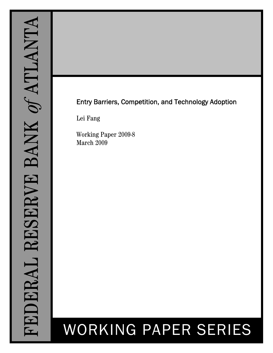# Entry Barriers, Competition, and Technology Adoption

Lei Fang

Working Paper 2009-8 March 2009

# WORKING PAPER SERIES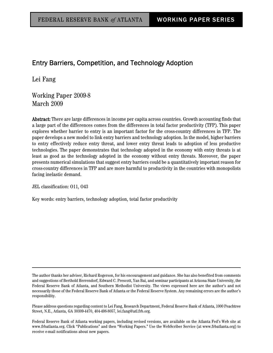## Entry Barriers, Competition, and Technology Adoption

Lei Fang

Working Paper 2009-8 March 2009

Abstract: There are large differences in income per capita across countries. Growth accounting finds that a large part of the differences comes from the differences in total factor productivity (TFP). This paper explores whether barrier to entry is an important factor for the cross-country differences in TFP. The paper develops a new model to link entry barriers and technology adoption. In the model, higher barriers to entry effectively reduce entry threat, and lower entry threat leads to adoption of less productive technologies. The paper demonstrates that technology adopted in the economy with entry threats is at least as good as the technology adopted in the economy without entry threats. Moreover, the paper presents numerical simulations that suggest entry barriers could be a quantitatively important reason for cross-country differences in TFP and are more harmful to productivity in the countries with monopolists facing inelastic demand.

JEL classification: O11, O43

Key words: entry barriers, technology adoption, total factor productivity

The author thanks her adviser, Richard Rogerson, for his encouragement and guidance. She has also benefited from comments and suggestions of Berthold Herrendorf, Edward C. Prescott, Yan Bai, and seminar participants at Arizona State University, the Federal Reserve Bank of Atlanta, and Southern Methodist University. The views expressed here are the author's and not necessarily those of the Federal Reserve Bank of Atlanta or the Federal Reserve System. Any remaining errors are the author's responsibility.

Please address questions regarding content to Lei Fang, Research Department, Federal Reserve Bank of Atlanta, 1000 Peachtree Street, N.E., Atlanta, GA 30309-4470, 404-498-8057, lei.fang@atl.frb.org.

Federal Reserve Bank of Atlanta working papers, including revised versions, are available on the Atlanta Fed's Web site at www.frbatlanta.org. Click "Publications" and then "Working Papers." Use the WebScriber Service (at www.frbatlanta.org) to receive e-mail notifications about new papers.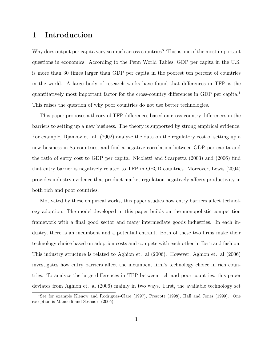## 1 Introduction

Why does output per capita vary so much across countries? This is one of the most important questions in economics. According to the Penn World Tables, GDP per capita in the U.S. is more than 30 times larger than GDP per capita in the poorest ten percent of countries in the world. A large body of research works have found that differences in TFP is the quantitatively most important factor for the cross-country differences in GDP per capita.<sup>1</sup> This raises the question of why poor countries do not use better technologies.

This paper proposes a theory of TFP differences based on cross-country differences in the barriers to setting up a new business. The theory is supported by strong empirical evidence. For example, Djankov et. al. (2002) analyze the data on the regulatory cost of setting up a new business in 85 countries, and find a negative correlation between GDP per capita and the ratio of entry cost to GDP per capita. Nicoletti and Scarpetta (2003) and (2006) find that entry barrier is negatively related to TFP in OECD countries. Moreover, Lewis (2004) provides industry evidence that product market regulation negatively affects productivity in both rich and poor countries.

Motivated by these empirical works, this paper studies how entry barriers affect technology adoption. The model developed in this paper builds on the monopolistic competition framework with a final good sector and many intermediate goods industries. In each industry, there is an incumbent and a potential entrant. Both of these two firms make their technology choice based on adoption costs and compete with each other in Bertrand fashion. This industry structure is related to Aghion et. al (2006). However, Aghion et. al (2006) investigates how entry barriers affect the incumbent firm's technology choice in rich countries. To analyze the large differences in TFP between rich and poor countries, this paper deviates from Aghion et. al (2006) mainly in two ways. First, the available technology set

<sup>1</sup>See for example Klenow and Rodriguez-Clare (1997), Prescott (1998), Hall and Jones (1999). One exception is Manuelli and Seshadri (2005)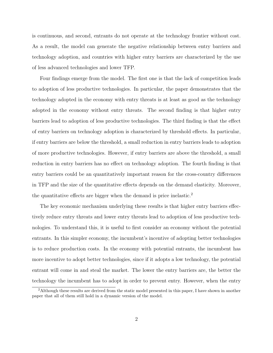is continuous, and second, entrants do not operate at the technology frontier without cost. As a result, the model can generate the negative relationship between entry barriers and technology adoption, and countries with higher entry barriers are characterized by the use of less advanced technologies and lower TFP.

Four findings emerge from the model. The first one is that the lack of competition leads to adoption of less productive technologies. In particular, the paper demonstrates that the technology adopted in the economy with entry threats is at least as good as the technology adopted in the economy without entry threats. The second finding is that higher entry barriers lead to adoption of less productive technologies. The third finding is that the effect of entry barriers on technology adoption is characterized by threshold effects. In particular, if entry barriers are below the threshold, a small reduction in entry barriers leads to adoption of more productive technologies. However, if entry barriers are above the threshold, a small reduction in entry barriers has no effect on technology adoption. The fourth finding is that entry barriers could be an quantitatively important reason for the cross-country differences in TFP and the size of the quantitative effects depends on the demand elasticity. Moreover, the quantitative effects are bigger when the demand is price inelastic.<sup>2</sup>

The key economic mechanism underlying these results is that higher entry barriers effectively reduce entry threats and lower entry threats lead to adoption of less productive technologies. To understand this, it is useful to first consider an economy without the potential entrants. In this simpler economy, the incumbent's incentive of adopting better technologies is to reduce production costs. In the economy with potential entrants, the incumbent has more incentive to adopt better technologies, since if it adopts a low technology, the potential entrant will come in and steal the market. The lower the entry barriers are, the better the technology the incumbent has to adopt in order to prevent entry. However, when the entry

<sup>2</sup>Although these results are derived from the static model presented in this paper, I have shown in another paper that all of them still hold in a dynamic version of the model.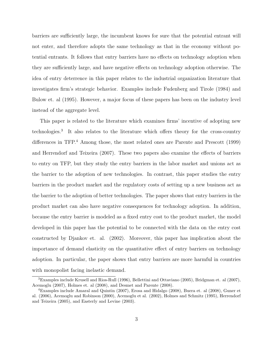barriers are sufficiently large, the incumbent knows for sure that the potential entrant will not enter, and therefore adopts the same technology as that in the economy without potential entrants. It follows that entry barriers have no effects on technology adoption when they are sufficiently large, and have negative effects on technology adoption otherwise. The idea of entry deterrence in this paper relates to the industrial organization literature that investigates firm's strategic behavior. Examples include Fudenberg and Tirole (1984) and Bulow et. al (1995). However, a major focus of these papers has been on the industry level instead of the aggregate level.

This paper is related to the literature which examines firms' incentive of adopting new technologies.<sup>3</sup> It also relates to the literature which offers theory for the cross-country differences in TFP.<sup>4</sup> Among those, the most related ones are Parente and Prescott (1999) and Herrendorf and Teixeira (2007). These two papers also examine the effects of barriers to entry on TFP, but they study the entry barriers in the labor market and unions act as the barrier to the adoption of new technologies. In contrast, this paper studies the entry barriers in the product market and the regulatory costs of setting up a new business act as the barrier to the adoption of better technologies. The paper shows that entry barriers in the product market can also have negative consequences for technology adoption. In addition, because the entry barrier is modeled as a fixed entry cost to the product market, the model developed in this paper has the potential to be connected with the data on the entry cost constructed by Djankov et. al. (2002). Moreover, this paper has implication about the importance of demand elasticity on the quantitative effect of entry barriers on technology adoption. In particular, the paper shows that entry barriers are more harmful in countries with monopolist facing inelastic demand.

<sup>3</sup>Examples include Krusell and Rios-Rull (1996), Bellettini and Ottaviano (2005), Bridgman et. al (2007), Acemoglu (2007), Holmes et. al (2008), and Desmet and Parente (2008).

<sup>4</sup>Examples include Amaral and Quintin (2007), Erosa and Hidalgo (2008), Buera et. al (2008), Guner et al. (2006), Acemoglu and Robinson (2000), Acemoglu et al. (2002), Holmes and Schmitz (1995), Herrendorf and Teixeira (2005), and Easterly and Levine (2003).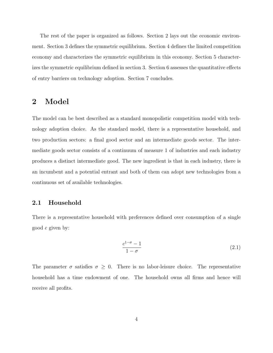The rest of the paper is organized as follows. Section 2 lays out the economic environment. Section 3 defines the symmetric equilibrium. Section 4 defines the limited competition economy and characterizes the symmetric equilibrium in this economy. Section 5 characterizes the symmetric equilibrium defined in section 3. Section 6 assesses the quantitative effects of entry barriers on technology adoption. Section 7 concludes.

## 2 Model

The model can be best described as a standard monopolistic competition model with technology adoption choice. As the standard model, there is a representative household, and two production sectors: a final good sector and an intermediate goods sector. The intermediate goods sector consists of a continuum of measure 1 of industries and each industry produces a distinct intermediate good. The new ingredient is that in each industry, there is an incumbent and a potential entrant and both of them can adopt new technologies from a continuous set of available technologies.

#### 2.1 Household

There is a representative household with preferences defined over consumption of a single good c given by:

$$
\frac{c^{1-\sigma}-1}{1-\sigma} \tag{2.1}
$$

The parameter  $\sigma$  satisfies  $\sigma \geq 0$ . There is no labor-leisure choice. The representative household has a time endowment of one. The household owns all firms and hence will receive all profits.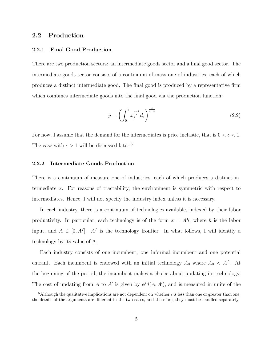### 2.2 Production

#### 2.2.1 Final Good Production

There are two production sectors: an intermediate goods sector and a final good sector. The intermediate goods sector consists of a continuum of mass one of industries, each of which produces a distinct intermediate good. The final good is produced by a representative firm which combines intermediate goods into the final good via the production function:

$$
y = \left(\int_0^1 x_j^{\frac{\epsilon - 1}{\epsilon}} d_j\right)^{\frac{\epsilon}{\epsilon - 1}}
$$
\n(2.2)

For now, I assume that the demand for the intermediates is price inelastic, that is  $0 < \epsilon < 1$ . The case with  $\epsilon > 1$  will be discussed later.<sup>5</sup>

#### 2.2.2 Intermediate Goods Production

There is a continuum of measure one of industries, each of which produces a distinct intermediate x. For reasons of tractability, the environment is symmetric with respect to intermediates. Hence, I will not specify the industry index unless it is necessary.

In each industry, there is a continuum of technologies available, indexed by their labor productivity. In particular, each technology is of the form  $x = Ah$ , where h is the labor input, and  $A \in [0, A^f]$ .  $A^f$  is the technology frontier. In what follows, I will identify a technology by its value of A.

Each industry consists of one incumbent, one informal incumbent and one potential entrant. Each incumbent is endowed with an initial technology  $A_0$  where  $A_0 < A<sup>f</sup>$ . At the beginning of the period, the incumbent makes a choice about updating its technology. The cost of updating from A to A' is given by  $\phi^i d(A, A')$ , and is measured in units of the

<sup>&</sup>lt;sup>5</sup>Although the qualitative implications are not dependent on whether  $\epsilon$  is less than one or greater than one, the details of the arguments are different in the two cases, and therefore, they must be handled separately.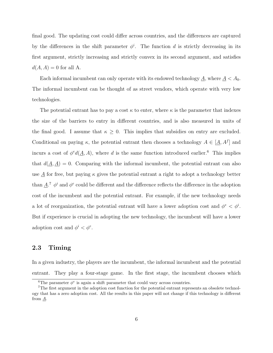final good. The updating cost could differ across countries, and the differences are captured by the differences in the shift parameter  $\phi^i$ . The function d is strictly decreasing in its first argument, strictly increasing and strictly convex in its second argument, and satisfies  $d(A, A) = 0$  for all A.

Each informal incumbent can only operate with its endowed technology  $\underline{A}$ , where  $\underline{A} < A_0$ . The informal incumbent can be thought of as street vendors, which operate with very low technologies.

The potential entrant has to pay a cost  $\kappa$  to enter, where  $\kappa$  is the parameter that indexes the size of the barriers to entry in different countries, and is also measured in units of the final good. I assume that  $\kappa \geq 0$ . This implies that subsidies on entry are excluded. Conditional on paying  $\kappa$ , the potential entrant then chooses a technology  $A \in [\underline{A}, A^f]$  and incurs a cost of  $\phi^e d(\underline{A}, A)$ , where d is the same function introduced earlier.<sup>6</sup> This implies that  $d(\underline{A}, \underline{A}) = 0$ . Comparing with the informal incumbent, the potential entrant can also use  $\underline{A}$  for free, but paying  $\kappa$  gives the potential entrant a right to adopt a technology better than  $\underline{A}$ .<sup>7</sup>  $\phi^i$  and  $\phi^e$  could be different and the difference reflects the difference in the adoption cost of the incumbent and the potential entrant. For example, if the new technology needs a lot of reorganization, the potential entrant will have a lower adoption cost and  $\phi^e < \phi^i$ . But if experience is crucial in adopting the new technology, the incumbent will have a lower adoption cost and  $\phi^i < \phi^e$ .

#### 2.3 Timing

In a given industry, the players are the incumbent, the informal incumbent and the potential entrant. They play a four-stage game. In the first stage, the incumbent chooses which

<sup>&</sup>lt;sup>6</sup>The parameter  $\phi^e$  is again a shift parameter that could vary across countries.

<sup>7</sup>The first argument in the adoption cost function for the potential entrant represents an obsolete technology that has a zero adoption cost. All the results in this paper will not change if this technology is different from  $\underline{A}$ .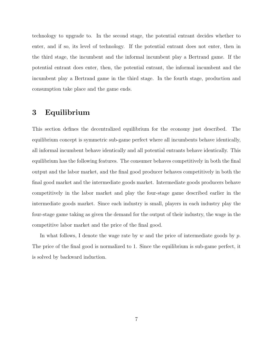technology to upgrade to. In the second stage, the potential entrant decides whether to enter, and if so, its level of technology. If the potential entrant does not enter, then in the third stage, the incumbent and the informal incumbent play a Bertrand game. If the potential entrant does enter, then, the potential entrant, the informal incumbent and the incumbent play a Bertrand game in the third stage. In the fourth stage, production and consumption take place and the game ends.

## 3 Equilibrium

This section defines the decentralized equilibrium for the economy just described. The equilibrium concept is symmetric sub-game perfect where all incumbents behave identically, all informal incumbent behave identically and all potential entrants behave identically. This equilibrium has the following features. The consumer behaves competitively in both the final output and the labor market, and the final good producer behaves competitively in both the final good market and the intermediate goods market. Intermediate goods producers behave competitively in the labor market and play the four-stage game described earlier in the intermediate goods market. Since each industry is small, players in each industry play the four-stage game taking as given the demand for the output of their industry, the wage in the competitive labor market and the price of the final good.

In what follows, I denote the wage rate by  $w$  and the price of intermediate goods by  $p$ . The price of the final good is normalized to 1. Since the equilibrium is sub-game perfect, it is solved by backward induction.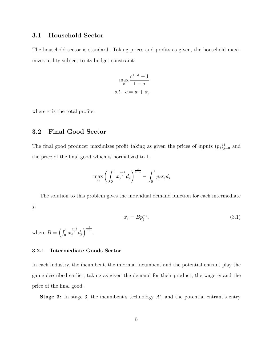## 3.1 Household Sector

The household sector is standard. Taking prices and profits as given, the household maximizes utility subject to its budget constraint:

$$
\max_{c} \frac{c^{1-\sigma} - 1}{1 - \sigma}
$$
  
s.t.  $c = w + \pi$ ,

where  $\pi$  is the total profits.

#### 3.2 Final Good Sector

The final good producer maximizes profit taking as given the prices of inputs  $(p_j)_{j=0}^1$  and the price of the final good which is normalized to 1.

$$
\max_{x_j} \left( \int_0^1 x_j^{\frac{\epsilon-1}{\epsilon}} d_j \right)^{\frac{\epsilon}{\epsilon-1}} - \int_0^1 p_j x_j d_j
$$

The solution to this problem gives the individual demand function for each intermediate j:

$$
x_j = B p_j^{-\epsilon},\tag{3.1}
$$

where  $B = \left(\int_0^1 x_j^{\frac{\epsilon - 1}{\epsilon}} d_j \right)^{\frac{\epsilon}{\epsilon - 1}}$ .

#### 3.2.1 Intermediate Goods Sector

In each industry, the incumbent, the informal incumbent and the potential entrant play the game described earlier, taking as given the demand for their product, the wage  $w$  and the price of the final good.

**Stage 3:** In stage 3, the incumbent's technology  $A^i$ , and the potential entrant's entry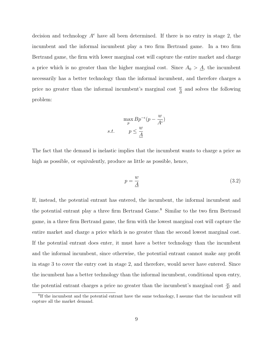decision and technology  $A^e$  have all been determined. If there is no entry in stage 2, the incumbent and the informal incumbent play a two firm Bertrand game. In a two firm Bertrand game, the firm with lower marginal cost will capture the entire market and charge a price which is no greater than the higher marginal cost. Since  $A_0 > \underline{A}$ , the incumbent necessarily has a better technology than the informal incumbent, and therefore charges a price no greater than the informal incumbent's marginal cost  $\frac{w}{A}$  and solves the following problem:

$$
\max_{p} Bp^{-\epsilon}(p - \frac{w}{A^{i}})
$$
  
s.t. 
$$
p \leq \frac{w}{\underline{A}}
$$

The fact that the demand is inelastic implies that the incumbent wants to charge a price as high as possible, or equivalently, produce as little as possible, hence,

$$
p = \frac{w}{\underline{A}}\tag{3.2}
$$

If, instead, the potential entrant has entered, the incumbent, the informal incumbent and the potential entrant play a three firm Bertrand Game.<sup>8</sup> Similar to the two firm Bertrand game, in a three firm Bertrand game, the firm with the lowest marginal cost will capture the entire market and charge a price which is no greater than the second lowest marginal cost. If the potential entrant does enter, it must have a better technology than the incumbent and the informal incumbent, since otherwise, the potential entrant cannot make any profit in stage 3 to cover the entry cost in stage 2, and therefore, would never have entered. Since the incumbent has a better technology than the informal incumbent, conditional upon entry, the potential entrant charges a price no greater than the incumbent's marginal cost  $\frac{w}{A^i}$  and

<sup>&</sup>lt;sup>8</sup>If the incumbent and the potential entrant have the same technology, I assume that the incumbent will capture all the market demand.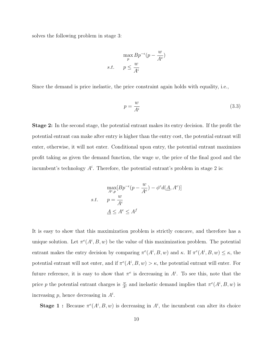solves the following problem in stage 3:

$$
\max_{p} Bp^{-\epsilon}(p - \frac{w}{A^e})
$$
  
s.t. 
$$
p \le \frac{w}{A^i}
$$

Since the demand is price inelastic, the price constraint again holds with equality, i.e.,

$$
p = \frac{w}{A^i} \tag{3.3}
$$

Stage 2: In the second stage, the potential entrant makes its entry decision. If the profit the potential entrant can make after entry is higher than the entry cost, the potential entrant will enter, otherwise, it will not enter. Conditional upon entry, the potential entrant maximizes profit taking as given the demand function, the wage  $w$ , the price of the final good and the incumbent's technology  $A^i$ . Therefore, the potential entrant's problem in stage 2 is:

$$
\max_{A^e, p} [Bp^{-\epsilon}(p - \frac{w}{A^e}) - \phi^e d(\underline{A}, A^e)]
$$
  
s.t. 
$$
p = \frac{w}{A^i}
$$

$$
\underline{A} \le A^e \le A^f
$$

It is easy to show that this maximization problem is strictly concave, and therefore has a unique solution. Let  $\pi^e(A^i, B, w)$  be the value of this maximization problem. The potential entrant makes the entry decision by comparing  $\pi^e(A^i, B, w)$  and  $\kappa$ . If  $\pi^e(A^i, B, w) \leq \kappa$ , the potential entrant will not enter, and if  $\pi^e(A^i, B, w) > \kappa$ , the potential entrant will enter. For future reference, it is easy to show that  $\pi^e$  is decreasing in  $A^i$ . To see this, note that the price p the potential entrant charges is  $\frac{w}{A^i}$  and inelastic demand implies that  $\pi^e(A^i, B, w)$  is increasing  $p$ , hence decreasing in  $A^i$ .

**Stage 1:** Because  $\pi^{e}(A^{i}, B, w)$  is decreasing in  $A^{i}$ , the incumbent can alter its choice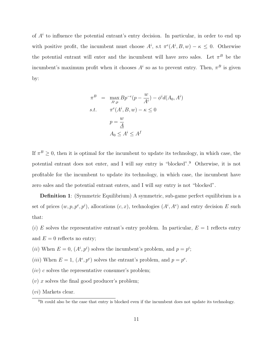of  $A<sup>i</sup>$  to influence the potential entrant's entry decision. In particular, in order to end up with positive profit, the incumbent must choose  $A^i$ , s.t  $\pi^e(A^i, B, w) - \kappa \leq 0$ . Otherwise the potential entrant will enter and the incumbent will have zero sales. Let  $\pi^B$  be the incumbent's maximum profit when it chooses  $A^i$  so as to prevent entry. Then,  $\pi^B$  is given by:

$$
\pi^{B} = \max_{A^{i}, p} Bp^{-\epsilon}(p - \frac{w}{A^{i}}) - \phi^{i}d(A_{0}, A^{i})
$$
  
s.t. 
$$
\pi^{\epsilon}(A^{i}, B, w) - \kappa \leq 0
$$

$$
p = \frac{w}{A}
$$

$$
A_{0} \leq A^{i} \leq A^{f}
$$

If  $\pi^B \geq 0$ , then it is optimal for the incumbent to update its technology, in which case, the potential entrant does not enter, and I will say entry is "blocked".<sup>9</sup> Otherwise, it is not profitable for the incumbent to update its technology, in which case, the incumbent have zero sales and the potential entrant enters, and I will say entry is not "blocked".

**Definition 1**: (Symmetric Equilibrium) A symmetric, sub-game perfect equilibrium is a set of prices  $(w, p, p^e, p^i)$ , allocations  $(c, x)$ , technologies  $(A^i, A^e)$  and entry decision E such that:

- (i) E solves the representative entrant's entry problem. In particular,  $E = 1$  reflects entry and  $E = 0$  reflects no entry;
- (*ii*) When  $E = 0$ ,  $(A^i, p^i)$  solves the incumbent's problem, and  $p = p^i$ ;
- (*iii*) When  $E = 1$ ,  $(A^e, p^e)$  solves the entrant's problem, and  $p = p^e$ .
- $(iv)$  c solves the representative consumer's problem;
- $(v)$  x solves the final good producer's problem;
- (vi) Markets clear.

<sup>&</sup>lt;sup>9</sup>It could also be the case that entry is blocked even if the incumbent does not update its technology.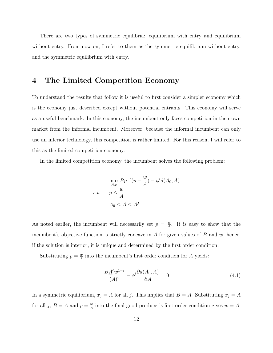There are two types of symmetric equilibria: equilibrium with entry and equilibrium without entry. From now on, I refer to them as the symmetric equilibrium without entry, and the symmetric equilibrium with entry.

## 4 The Limited Competition Economy

To understand the results that follow it is useful to first consider a simpler economy which is the economy just described except without potential entrants. This economy will serve as a useful benchmark. In this economy, the incumbent only faces competition in their own market from the informal incumbent. Moreover, because the informal incumbent can only use an inferior technology, this competition is rather limited. For this reason, I will refer to this as the limited competition economy.

In the limited competition economy, the incumbent solves the following problem:

$$
\max_{A,p} Bp^{-\epsilon}(p - \frac{w}{A}) - \phi^i d(A_0, A)
$$
  
s.t. 
$$
p \le \frac{w}{\underline{A}}
$$

$$
A_0 \le A \le A^f
$$

As noted earlier, the incumbent will necessarily set  $p = \frac{w}{4}$  $\frac{w}{\underline{A}}$ . It is easy to show that the incumbent's objective function is strictly concave in A for given values of B and  $w$ , hence, if the solution is interior, it is unique and determined by the first order condition.

Substituting  $p = \frac{w}{4}$  $\frac{w}{A}$  into the incumbent's first order condition for A yields:

$$
\frac{B\underline{A}^{\epsilon}\omega^{1-\epsilon}}{(A)^2} - \phi^i \frac{\partial d(A_0, A)}{\partial A} = 0
$$
\n(4.1)

In a symmetric equilibrium,  $x_j = A$  for all j. This implies that  $B = A$ . Substituting  $x_j = A$ for all j,  $B = A$  and  $p = \frac{w}{4}$  $\frac{w}{A}$  into the final good producer's first order condition gives  $w = \underline{A}$ .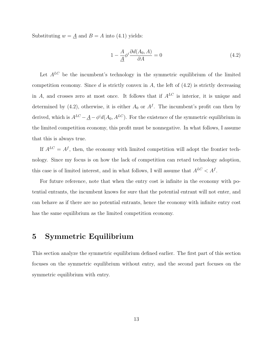Substituting  $w = \underline{A}$  and  $B = A$  into (4.1) yields:

$$
1 - \frac{A}{\underline{A}} \phi^i \frac{\partial d(A_0, A)}{\partial A} = 0 \tag{4.2}
$$

Let  $A^{LC}$  be the incumbent's technology in the symmetric equilibrium of the limited competition economy. Since  $d$  is strictly convex in  $A$ , the left of  $(4.2)$  is strictly decreasing in A, and crosses zero at most once. It follows that if  $A^{LC}$  is interior, it is unique and determined by (4.2), otherwise, it is either  $A_0$  or  $A<sup>f</sup>$ . The incumbent's profit can then by derived, which is  $A^{LC} - \underline{A} - \phi^i d(A_0, A^{LC})$ . For the existence of the symmetric equilibrium in the limited competition economy, this profit must be nonnegative. In what follows, I assume that this is always true.

If  $A^{LC} = A^f$ , then, the economy with limited competition will adopt the frontier technology. Since my focus is on how the lack of competition can retard technology adoption, this case is of limited interest, and in what follows, I will assume that  $A^{LC} < A^f$ .

For future reference, note that when the entry cost is infinite in the economy with potential entrants, the incumbent knows for sure that the potential entrant will not enter, and can behave as if there are no potential entrants, hence the economy with infinite entry cost has the same equilibrium as the limited competition economy.

## 5 Symmetric Equilibrium

This section analyze the symmetric equilibrium defined earlier. The first part of this section focuses on the symmetric equilibrium without entry, and the second part focuses on the symmetric equilibrium with entry.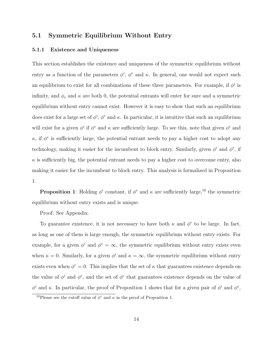#### 5.1 Symmetric Equilibrium Without Entry

#### 5.1.1 Existence and Uniqueness

This section establishes the existence and uniqueness of the symmetric equilibrium without entry as a function of the parameters  $\phi^i$ ,  $\phi^e$  and  $\kappa$ . In general, one would not expect such an equilibrium to exist for all combinations of these three parameters. For example, if  $\phi^i$  is infinity, and  $\phi_e$  and  $\kappa$  are both 0, the potential entrants will enter for sure and a symmetric equilibrium without entry cannot exist. However it is easy to show that such an equilibrium does exist for a large set of  $\phi^i$ ,  $\phi^e$  and  $\kappa$ . In particular, it is intuitive that such an equilibrium will exist for a given  $\phi^i$  if  $\phi^e$  and  $\kappa$  are sufficiently large. To see this, note that given  $\phi^i$  and  $\kappa$ , if  $\phi^e$  is sufficiently large, the potential entrant needs to pay a higher cost to adopt any technology, making it easier for the incumbent to block entry. Similarly, given  $\phi^i$  and  $\phi^e$ , if  $\kappa$  is sufficiently big, the potential entrant needs to pay a higher cost to overcome entry, also making it easier for the incumbent to block entry. This analysis is formalized in Proposition 1.

**Proposition 1**: Holding  $\phi^i$  constant, if  $\phi^e$  and  $\kappa$  are sufficiently large,<sup>10</sup> the symmetric equilibrium without entry exists and is unique.

Proof: See Appendix.

To guarantee existence, it is not necessary to have both  $\kappa$  and  $\phi^e$  to be large. In fact, as long as one of them is large enough, the symmetric equilibrium without entry exists. For example, for a given  $\phi^i$  and  $\phi^e = \infty$ , the symmetric equilibrium without entry exists even when  $\kappa = 0$ . Similarly, for a given  $\phi^i$  and  $\kappa = \infty$ , the symmetric equilibrium without entry exists even when  $\phi^e = 0$ . This implies that the set of  $\kappa$  that guarantees existence depends on the value of  $\phi^i$  and  $\phi^e$ , and the set of  $\phi^e$  that guarantees existence depends on the value of  $\phi^i$  and  $\kappa$ . In particular, the proof of Proposition 1 shows that for a given pair of  $\phi^i$  and  $\phi^e$ ,

<sup>&</sup>lt;sup>10</sup>Please see the cutoff value of  $\phi^e$  and  $\kappa$  in the proof of Proposition 1.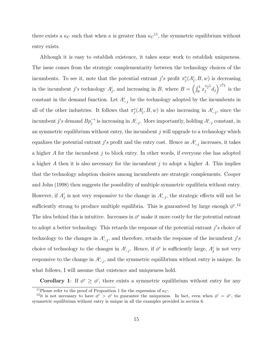there exists a  $\kappa_C$  such that when  $\kappa$  is greater than  $\kappa_C^{-11}$ , the symmetric equilibrium without entry exists.

Although it is easy to establish existence, it takes some work to establish uniqueness. The issue comes from the strategic complementarity between the technology choices of the incumbents. To see it, note that the potential entrant  $j's$  profit  $\pi_j^e(A_j^i, B, w)$  is decreasing in the incumbent j's technology  $A_j^i$ , and increasing in B, where  $B = \left(\int_0^1 x_j^{\frac{\epsilon-1}{\epsilon}} d_j\right)^{\frac{\epsilon}{\epsilon-1}}$  is the constant in the demand function. Let  $A^i_{-j}$  be the technology adopted by the incumbents in all of the other industries. It follows that  $\pi_j^e(A_j^i, B, w)$  is also increasing in  $A_{-j}^i$ , since the incumbent j's demand  $Bp_j^{-\epsilon}$  is increasing in  $A^i_{-j}$ . More importantly, holding  $A^i_{-j}$  constant, in an symmetric equilibrium without entry, the incumbent  $j$  will upgrade to a technology which equalizes the potential entrant j's profit and the entry cost. Hence as  $A^i_{-j}$  increases, it takes a higher  $A$  for the incumbent  $j$  to block entry. In other words, if everyone else has adopted a higher A then it is also necessary for the incumbent  $j$  to adopt a higher A. This implies that the technology adoption choices among incumbents are strategic complements. Cooper and John (1998) then suggests the possibility of multiple symmetric equilibria without entry. However, if  $A_j^i$  is not very responsive to the change in  $A_{-j}^i$ , the strategic effects will not be sufficiently strong to produce multiple equilibria. This is guaranteed by large enough  $\phi^{e,12}$ The idea behind this is intuitive. Increases in  $\phi^e$  make it more costly for the potential entrant to adopt a better technology. This retards the response of the potential entrant  $j's$  choice of technology to the changes in  $A^i_{-j}$ , and therefore, retards the response of the incumbent  $j's$ choice of technology to the changes in  $A^i_{-j}$ . Hence, if  $\phi^e$  is sufficiently large,  $A^i_j$  is not very responsive to the change in  $A^i_{-j}$ , and the symmetric equilibrium without entry is unique. In what follows, I will assume that existence and uniqueness hold.

**Corollary 1**: If  $\phi^e \geq \phi^i$ , there exists a symmetric equilibrium without entry for any

<sup>&</sup>lt;sup>11</sup>Please refer to the proof of Proposition 1 for the expression of  $\kappa_C$ .

<sup>&</sup>lt;sup>12</sup>it is not necessary to have  $\phi^e > \phi^i$  to guarantee the uniqueness. In fact, even when  $\phi^i = \phi^e$ , the symmetric equilibrium without entry is unique in all the examples provided in section 6.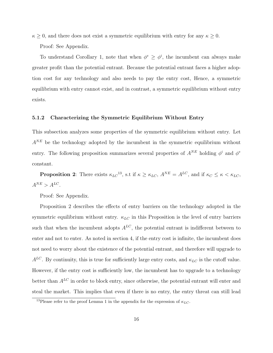$\kappa \geq 0$ , and there does not exist a symmetric equilibrium with entry for any  $\kappa \geq 0$ .

Proof: See Appendix.

To understand Corollary 1, note that when  $\phi^e \geq \phi^i$ , the incumbent can always make greater profit than the potential entrant. Because the potential entrant faces a higher adoption cost for any technology and also needs to pay the entry cost, Hence, a symmetric equilibrium with entry cannot exist, and in contrast, a symmetric equilibrium without entry exists.

#### 5.1.2 Characterizing the Symmetric Equilibrium Without Entry

This subsection analyzes some properties of the symmetric equilibrium without entry. Let  $A^{NE}$  be the technology adopted by the incumbent in the symmetric equilibrium without entry. The following proposition summarizes several properties of  $A^{NE}$  holding  $\phi^i$  and  $\phi^e$ constant.

**Proposition 2**: There exists  $\kappa_{LC}^{13}$ , s.t if  $\kappa \geq \kappa_{LC}$ ,  $A^{NE} = A^{LC}$ , and if  $\kappa_C \leq \kappa \leq \kappa_{LC}$ ,  $A^{NE} > A^{LC}.$ 

Proof: See Appendix.

Proposition 2 describes the effects of entry barriers on the technology adopted in the symmetric equilibrium without entry.  $\kappa_{LC}$  in this Proposition is the level of entry barriers such that when the incumbent adopts  $A^{LC}$ , the potential entrant is indifferent between to enter and not to enter. As noted in section 4, if the entry cost is infinite, the incumbent does not need to worry about the existence of the potential entrant, and therefore will upgrade to  $A^{LC}$ . By continuity, this is true for sufficiently large entry costs, and  $\kappa_{LC}$  is the cutoff value. However, if the entry cost is sufficiently low, the incumbent has to upgrade to a technology better than  $A^{LC}$  in order to block entry, since otherwise, the potential entrant will enter and steal the market. This implies that even if there is no entry, the entry threat can still lead

<sup>&</sup>lt;sup>13</sup>Please refer to the proof Lemma 1 in the appendix for the expression of  $\kappa_{LC}$ .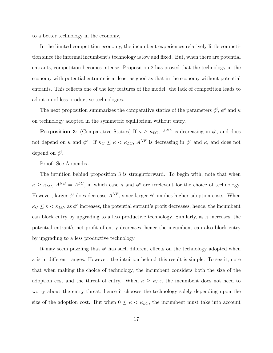to a better technology in the economy,

In the limited competition economy, the incumbent experiences relatively little competition since the informal incumbent's technology is low and fixed. But, when there are potential entrants, competition becomes intense. Proposition 2 has proved that the technology in the economy with potential entrants is at least as good as that in the economy without potential entrants. This reflects one of the key features of the model: the lack of competition leads to adoption of less productive technologies.

The next proposition summarizes the comparative statics of the parameters  $\phi^i$ ,  $\phi^e$  and  $\kappa$ on technology adopted in the symmetric equilibrium without entry.

**Proposition 3**: (Comparative Statics) If  $\kappa \geq \kappa_{LC}$ ,  $A^{NE}$  is decreasing in  $\phi^i$ , and does not depend on  $\kappa$  and  $\phi^e$ . If  $\kappa_C \leq \kappa < \kappa_{LC}$ ,  $A^{NE}$  is decreasing in  $\phi^e$  and  $\kappa$ , and does not depend on  $\phi^i$ .

Proof: See Appendix.

The intuition behind proposition 3 is straightforward. To begin with, note that when  $\kappa \geq \kappa_{LC}$ ,  $A^{NE} = A^{LC}$ , in which case  $\kappa$  and  $\phi^e$  are irrelevant for the choice of technology. However, larger  $\phi^i$  does decrease  $A^{NE}$ , since larger  $\phi^e$  implies higher adoption costs. When  $\kappa_C \leq \kappa \lt \kappa_{LC}$ , as  $\phi^e$  increases, the potential entrant's profit decreases, hence, the incumbent can block entry by upgrading to a less productive technology. Similarly, as  $\kappa$  increases, the potential entrant's net profit of entry decreases, hence the incumbent can also block entry by upgrading to a less productive technology.

It may seem puzzling that  $\phi^i$  has such different effects on the technology adopted when  $\kappa$  is in different ranges. However, the intuition behind this result is simple. To see it, note that when making the choice of technology, the incumbent considers both the size of the adoption cost and the threat of entry. When  $\kappa \geq \kappa_{LC}$ , the incumbent does not need to worry about the entry threat, hence it chooses the technology solely depending upon the size of the adoption cost. But when  $0 \leq \kappa < \kappa_{LC}$ , the incumbent must take into account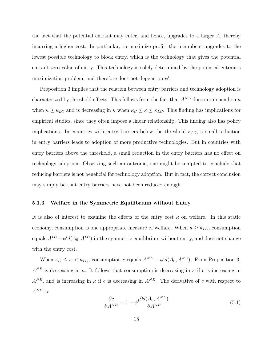the fact that the potential entrant may enter, and hence, upgrades to a larger A, thereby incurring a higher cost. In particular, to maximize profit, the incumbent upgrades to the lowest possible technology to block entry, which is the technology that gives the potential entrant zero value of entry. This technology is solely determined by the potential entrant's maximization problem, and therefore does not depend on  $\phi^i$ .

Proposition 3 implies that the relation between entry barriers and technology adoption is characterized by threshold effects. This follows from the fact that  $A^{NE}$  does not depend on  $\kappa$ when  $\kappa \geq \kappa_{LC}$  and is decreasing in  $\kappa$  when  $\kappa_C \leq \kappa \leq \kappa_{LC}$ . This finding has implications for empirical studies, since they often impose a linear relationship. This finding also has policy implications. In countries with entry barriers below the threshold  $\kappa_{LC}$ , a small reduction in entry barriers leads to adoption of more productive technologies. But in countries with entry barriers above the threshold, a small reduction in the entry barriers has no effect on technology adoption. Observing such an outcome, one might be tempted to conclude that reducing barriers is not beneficial for technology adoption. But in fact, the correct conclusion may simply be that entry barriers have not been reduced enough.

#### 5.1.3 Welfare in the Symmetric Equilibrium without Entry

It is also of interest to examine the effects of the entry cost  $\kappa$  on welfare. In this static economy, consumption is one appropriate measure of welfare. When  $\kappa \geq \kappa_{LC}$ , consumption equals  $A^{LC} - \phi^i d(A_0, A^{LC})$  in the symmetric equilibrium without entry, and does not change with the entry cost.

When  $\kappa_C \leq \kappa < \kappa_{LC}$ , consumption c equals  $A^{NE} - \phi^i d(A_0, A^{NE})$ . From Proposition 3,  $A^{NE}$  is decreasing in  $\kappa$ . It follows that consumption is decreasing in  $\kappa$  if c is increasing in  $A^{NE}$ , and is increasing in  $\kappa$  if c is decreasing in  $A^{NE}$ . The derivative of c with respect to  $A^{NE}$  is:

$$
\frac{\partial c}{\partial A^{NE}} = 1 - \phi^i \frac{\partial d(A_0, A^{NE})}{\partial A^{NE}}
$$
\n(5.1)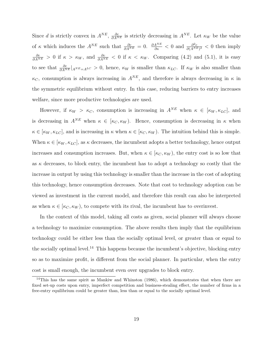Since d is strictly convex in  $A^{NE}$ ,  $\frac{\partial c}{\partial A^{NE}}$  is strictly decreasing in  $A^{NE}$ . Let  $\kappa_W$  be the value of  $\kappa$  which induces the  $A^{NE}$  such that  $\frac{\partial c}{\partial A^{NE}} = 0$ .  $\frac{\partial A^{NE}}{\partial \kappa} < 0$  and  $\frac{\partial^2 c}{\partial (A^{NI})}$  $\frac{\partial^2 c}{\partial (A^{NE})^2} < 0$  then imply  $\frac{\partial c}{\partial A^{NE}} > 0$  if  $\kappa > \kappa_W$ , and  $\frac{\partial c}{\partial A^{NE}} < 0$  if  $\kappa < \kappa_W$ . Comparing (4.2) and (5.1), it is easy to see that  $\frac{\partial c}{\partial A^{NE}}|_{A^{NE}=A^{LC}}>0$ , hence,  $\kappa_W$  is smaller than  $\kappa_{LC}$ . If  $\kappa_W$  is also smaller than  $\kappa_C$ , consumption is always increasing in  $A^{NE}$ , and therefore is always decreasing in  $\kappa$  in the symmetric equilibrium without entry. In this case, reducing barriers to entry increases welfare, since more productive technologies are used.

However, if  $\kappa_W > \kappa_C$ , consumption is increasing in  $A^{NE}$  when  $\kappa \in [\kappa_W, \kappa_{LC}]$ , and is decreasing in  $A^{NE}$  when  $\kappa \in [\kappa_C, \kappa_W)$ . Hence, consumption is decreasing in  $\kappa$  when  $\kappa \in [\kappa_W, \kappa_{LC}]$ , and is increasing in  $\kappa$  when  $\kappa \in [\kappa_C, \kappa_W)$ . The intuition behind this is simple. When  $\kappa \in [\kappa_W, \kappa_{LC}]$ , as  $\kappa$  decreases, the incumbent adopts a better technology, hence output increases and consumption increases. But, when  $\kappa \in [\kappa_C, \kappa_W)$ , the entry cost is so low that as  $\kappa$  decreases, to block entry, the incumbent has to adopt a technology so costly that the increase in output by using this technology is smaller than the increase in the cost of adopting this technology, hence consumption decreases. Note that cost to technology adoption can be viewed as investment in the current model, and therefore this result can also be interpreted as when  $\kappa \in [\kappa_C, \kappa_W]$ , to compete with its rival, the incumbent has to overinvest.

In the context of this model, taking all costs as given, social planner will always choose a technology to maximize consumption. The above results then imply that the equilibrium technology could be either less than the socially optimal level, or greater than or equal to the socially optimal level.<sup>14</sup> This happens because the incumbent's objective, blocking entry so as to maximize profit, is different from the social planner. In particular, when the entry cost is small enough, the incumbent even over upgrades to block entry.

 $14$ This has the same spirit as Mankiw and Whinston (1986), which demonstrates that when there are fixed set-up costs upon entry, imperfect competition and business-stealing effect, the number of firms in a free-entry equilibrium could be greater than, less than or equal to the socially optimal level.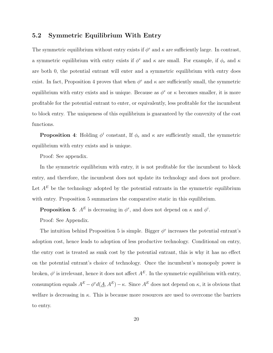#### 5.2 Symmetric Equilibrium With Entry

The symmetric equilibrium without entry exists if  $\phi^e$  and  $\kappa$  are sufficiently large. In contrast, a symmetric equilibrium with entry exists if  $\phi^e$  and  $\kappa$  are small. For example, if  $\phi_e$  and  $\kappa$ are both 0, the potential entrant will enter and a symmetric equilibrium with entry does exist. In fact, Proposition 4 proves that when  $\phi^e$  and  $\kappa$  are sufficiently small, the symmetric equilibrium with entry exists and is unique. Because as  $\phi^e$  or  $\kappa$  becomes smaller, it is more profitable for the potential entrant to enter, or equivalently, less profitable for the incumbent to block entry. The uniqueness of this equilibrium is guaranteed by the convexity of the cost functions.

**Proposition** 4: Holding  $\phi^i$  constant, If  $\phi_e$  and  $\kappa$  are sufficiently small, the symmetric equilibrium with entry exists and is unique.

Proof: See appendix.

In the symmetric equilibrium with entry, it is not profitable for the incumbent to block entry, and therefore, the incumbent does not update its technology and does not produce. Let  $A^E$  be the technology adopted by the potential entrants in the symmetric equilibrium with entry. Proposition 5 summarizes the comparative static in this equilibrium.

**Proposition 5:**  $A^E$  is decreasing in  $\phi^e$ , and does not depend on  $\kappa$  and  $\phi^i$ .

Proof: See Appendix.

The intuition behind Proposition 5 is simple. Bigger  $\phi^e$  increases the potential entrant's adoption cost, hence leads to adoption of less productive technology. Conditional on entry, the entry cost is treated as sunk cost by the potential entrant, this is why it has no effect on the potential entrant's choice of technology. Once the incumbent's monopoly power is broken,  $\phi^i$  is irrelevant, hence it does not affect  $A^E$ . In the symmetric equilibrium with entry, consumption equals  $A^E - \phi^e d(\underline{A}, A^E) - \kappa$ . Since  $A^E$  does not depend on  $\kappa$ , it is obvious that welfare is decreasing in  $\kappa$ . This is because more resources are used to overcome the barriers to entry.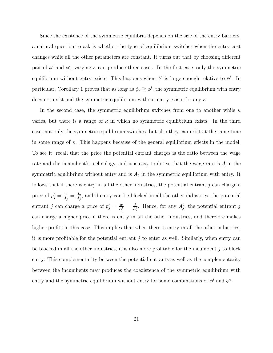Since the existence of the symmetric equilibria depends on the size of the entry barriers, a natural question to ask is whether the type of equilibrium switches when the entry cost changes while all the other parameters are constant. It turns out that by choosing different pair of  $\phi^i$  and  $\phi^e$ , varying  $\kappa$  can produce three cases. In the first case, only the symmetric equilibrium without entry exists. This happens when  $\phi^e$  is large enough relative to  $\phi^i$ . In particular, Corollary 1 proves that as long as  $\phi_e \geq \phi^i$ , the symmetric equilibrium with entry does not exist and the symmetric equilibrium without entry exists for any  $\kappa$ .

In the second case, the symmetric equilibrium switches from one to another while  $\kappa$ varies, but there is a range of  $\kappa$  in which no symmetric equilibrium exists. In the third case, not only the symmetric equilibrium switches, but also they can exist at the same time in some range of  $\kappa$ . This happens because of the general equilibrium effects in the model. To see it, recall that the price the potential entrant charges is the ratio between the wage rate and the incumbent's technology, and it is easy to derive that the wage rate is  $\underline{A}$  in the symmetric equilibrium without entry and is  $A_0$  in the symmetric equilibrium with entry. It follows that if there is entry in all the other industries, the potential entrant  $j$  can charge a price of  $p_j^e = \frac{w}{A_j^i} = \frac{A_0}{A_j^i}$  $\frac{A_0}{A_j^i}$ , and if entry can be blocked in all the other industries, the potential entrant j can charge a price of  $p_j^e = \frac{w}{A_j^i} = \frac{A}{A_j^i}$  $\frac{A}{A_j^i}$ . Hence, for any  $A_j^i$ , the potential entrant j can charge a higher price if there is entry in all the other industries, and therefore makes higher profits in this case. This implies that when there is entry in all the other industries, it is more profitable for the potential entrant  $j$  to enter as well. Similarly, when entry can be blocked in all the other industries, it is also more profitable for the incumbent  $j$  to block entry. This complementarity between the potential entrants as well as the complementarity between the incumbents may produces the coexistence of the symmetric equilibrium with entry and the symmetric equilibrium without entry for some combinations of  $\phi^i$  and  $\phi^e$ .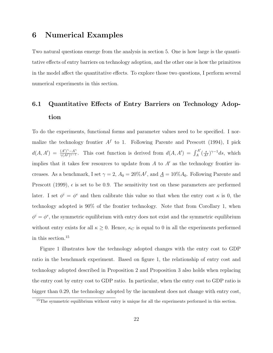## 6 Numerical Examples

Two natural questions emerge from the analysis in section 5. One is how large is the quantitative effects of entry barriers on technology adoption, and the other one is how the primitives in the model affect the quantitative effects. To explore those two questions, I perform several numerical experiments in this section.

# 6.1 Quantitative Effects of Entry Barriers on Technology Adoption

To do the experiments, functional forms and parameter values need to be specified. I normalize the technology frontier  $A<sup>f</sup>$  to 1. Following Parente and Prescott (1994), I pick  $d(A, A') = \frac{(A')^{\gamma} - A^{\gamma}}{\gamma (A f) \gamma - 1}$  $\frac{(A')^{\gamma}-A^{\gamma}}{\gamma(A^f)^{\gamma-1}}$ . This cost function is derived from  $d(A, A') = \int_A^{A'} (\frac{s}{A^f})^{\gamma-1} ds$ , which implies that it takes few resources to update from  $A$  to  $A'$  as the technology frontier increases. As a benchmark, I set  $\gamma = 2$ ,  $A_0 = 20\% A^f$ , and  $\underline{A} = 10\% A_0$ . Following Parente and Prescott (1999),  $\epsilon$  is set to be 0.9. The sensitivity test on these parameters are performed later. I set  $\phi^i = \phi^e$  and then calibrate this value so that when the entry cost  $\kappa$  is 0, the technology adopted is 90% of the frontier technology. Note that from Corollary 1, when  $\phi^i = \phi^e$ , the symmetric equilibrium with entry does not exist and the symmetric equilibrium without entry exists for all  $\kappa \geq 0$ . Hence,  $\kappa_C$  is equal to 0 in all the experiments performed in this section.<sup>15</sup>

Figure 1 illustrates how the technology adopted changes with the entry cost to GDP ratio in the benchmark experiment. Based on figure 1, the relationship of entry cost and technology adopted described in Proposition 2 and Proposition 3 also holds when replacing the entry cost by entry cost to GDP ratio. In particular, when the entry cost to GDP ratio is bigger than 0.29, the technology adopted by the incumbent does not change with entry cost,

<sup>15</sup>The symmetric equilibrium without entry is unique for all the experiments performed in this section.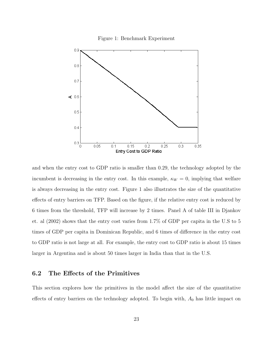



and when the entry cost to GDP ratio is smaller than 0.29, the technology adopted by the incumbent is decreasing in the entry cost. In this example,  $\kappa_W = 0$ , implying that welfare is always decreasing in the entry cost. Figure 1 also illustrates the size of the quantitative effects of entry barriers on TFP. Based on the figure, if the relative entry cost is reduced by 6 times from the threshold, TFP will increase by 2 times. Panel A of table III in Djankov et. al (2002) shows that the entry cost varies from 1.7% of GDP per capita in the U.S to 5 times of GDP per capita in Dominican Republic, and 6 times of difference in the entry cost to GDP ratio is not large at all. For example, the entry cost to GDP ratio is about 15 times larger in Argentina and is about 50 times larger in India than that in the U.S.

#### 6.2 The Effects of the Primitives

This section explores how the primitives in the model affect the size of the quantitative effects of entry barriers on the technology adopted. To begin with,  $A_0$  has little impact on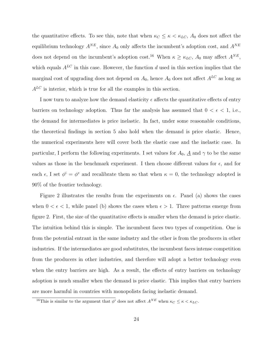the quantitative effects. To see this, note that when  $\kappa_C \leq \kappa \langle \kappa_{LC}, A_0 \rangle$  does not affect the equilibrium technology  $A^{NE}$ , since  $A_0$  only affects the incumbent's adoption cost, and  $A^{NE}$ does not depend on the incumbent's adoption cost.<sup>16</sup> When  $\kappa \geq \kappa_{LC}$ ,  $A_0$  may affect  $A^{NE}$ , which equals  $A^{LC}$  in this case. However, the function d used in this section implies that the marginal cost of upgrading does not depend on  $A_0$ , hence  $A_0$  does not affect  $A^{LC}$  as long as  $A^{LC}$  is interior, which is true for all the examples in this section.

I now turn to analyze how the demand elasticity  $\epsilon$  affects the quantitative effects of entry barriers on technology adoption. Thus far the analysis has assumed that  $0 < \epsilon < 1$ , i.e., the demand for intermediates is price inelastic. In fact, under some reasonable conditions, the theoretical findings in section 5 also hold when the demand is price elastic. Hence, the numerical experiments here will cover both the elastic case and the inelastic case. In particular, I perform the following experiments. I set values for  $A_0$ ,  $\underline{A}$  and  $\gamma$  to be the same values as those in the benchmark experiment. I then choose different values for  $\epsilon$ , and for each  $\epsilon$ , I set  $\phi^i = \phi^e$  and recalibrate them so that when  $\kappa = 0$ , the technology adopted is 90% of the frontier technology.

Figure 2 illustrates the results from the experiments on  $\epsilon$ . Panel (a) shows the cases when  $0 < \epsilon < 1$ , while panel (b) shows the cases when  $\epsilon > 1$ . Three patterns emerge from figure 2. First, the size of the quantitative effects is smaller when the demand is price elastic. The intuition behind this is simple. The incumbent faces two types of competition. One is from the potential entrant in the same industry and the other is from the producers in other industries. If the intermediates are good substitutes, the incumbent faces intense competition from the producers in other industries, and therefore will adopt a better technology even when the entry barriers are high. As a result, the effects of entry barriers on technology adoption is much smaller when the demand is price elastic. This implies that entry barriers are more harmful in countries with monopolists facing inelastic demand.

<sup>&</sup>lt;sup>16</sup>This is similar to the argument that  $\phi^i$  does not affect  $A^{NE}$  when  $\kappa_C \leq \kappa \leq \kappa_{LC}$ .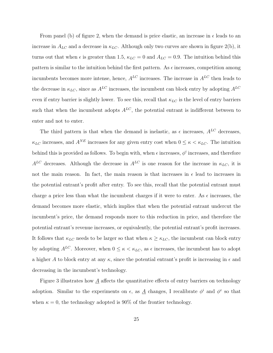From panel (b) of figure 2, when the demand is price elastic, an increase in  $\epsilon$  leads to an increase in  $A_{LC}$  and a decrease in  $\kappa_{LC}$ . Although only two curves are shown in figure 2(b), it turns out that when  $\epsilon$  is greater than 1.5,  $\kappa_{LC} = 0$  and  $A_{LC} = 0.9$ . The intuition behind this pattern is similar to the intuition behind the first pattern. As  $\epsilon$  increases, competition among incumbents becomes more intense, hence,  $A^{LC}$  increases. The increase in  $A^{LC}$  then leads to the decrease in  $\kappa_{LC}$ , since as  $A^{LC}$  increases, the incumbent can block entry by adopting  $A^{LC}$ even if entry barrier is slightly lower. To see this, recall that  $\kappa_{LC}$  is the level of entry barriers such that when the incumbent adopts  $A^{LC}$ , the potential entrant is indifferent between to enter and not to enter.

The third pattern is that when the demand is inelastic, as  $\epsilon$  increases,  $A^{LC}$  decreases,  $\kappa_{LC}$  increases, and  $A^{NE}$  increases for any given entry cost when  $0 \leq \kappa < \kappa_{LC}$ . The intuition behind this is provided as follows. To begin with, when  $\epsilon$  increases,  $\phi^i$  increases, and therefore  $A^{LC}$  decreases. Although the decrease in  $A^{LC}$  is one reason for the increase in  $\kappa_{LC}$ , it is not the main reason. In fact, the main reason is that increases in  $\epsilon$  lead to increases in the potential entrant's profit after entry. To see this, recall that the potential entrant must charge a price less than what the incumbent charges if it were to enter. As  $\epsilon$  increases, the demand becomes more elastic, which implies that when the potential entrant undercut the incumbent's price, the demand responds more to this reduction in price, and therefore the potential entrant's revenue increases, or equivalently, the potential entrant's profit increases. It follows that  $\kappa_{LC}$  needs to be larger so that when  $\kappa \geq \kappa_{LC}$ , the incumbent can block entry by adopting  $A^{LC}$ . Moreover, when  $0 \leq \kappa < \kappa_{LC}$ , as  $\epsilon$  increases, the incumbent has to adopt a higher A to block entry at any  $\kappa$ , since the potential entrant's profit is increasing in  $\epsilon$  and decreasing in the incumbent's technology.

Figure 3 illustrates how  $\underline{A}$  affects the quantitative effects of entry barriers on technology adoption. Similar to the experiments on  $\epsilon$ , as  $\underline{A}$  changes, I recalibrate  $\phi^i$  and  $\phi^e$  so that when  $\kappa = 0$ , the technology adopted is 90% of the frontier technology.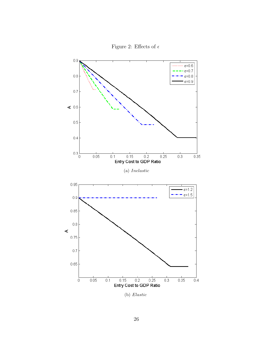

Figure 2: Effects of  $\epsilon$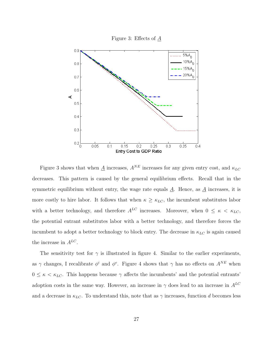

Figure 3 shows that when  $\underline{A}$  increases,  $A^{NE}$  increases for any given entry cost, and  $\kappa_{LC}$ decreases. This pattern is caused by the general equilibrium effects. Recall that in the symmetric equilibrium without entry, the wage rate equals  $\underline{A}$ . Hence, as  $\underline{A}$  increases, it is more costly to hire labor. It follows that when  $\kappa \geq \kappa_{LC}$ , the incumbent substitutes labor with a better technology, and therefore  $A^{LC}$  increases. Moreover, when  $0 \le \kappa \langle \kappa_{LC},$ the potential entrant substitutes labor with a better technology, and therefore forces the incumbent to adopt a better technology to block entry. The decrease in  $\kappa_{LC}$  is again caused the increase in  $A^{LC}$ .

The sensitivity test for  $\gamma$  is illustrated in figure 4. Similar to the earlier experiments, as  $\gamma$  changes, I recalibrate  $\phi^i$  and  $\phi^e$ . Figure 4 shows that  $\gamma$  has no effects on  $A^{NE}$  when  $0 \leq \kappa < \kappa_{LC}$ . This happens because  $\gamma$  affects the incumbents' and the potential entrants' adoption costs in the same way. However, an increase in  $\gamma$  does lead to an increase in  $A^{LC}$ and a decrease in  $\kappa_{LC}$ . To understand this, note that as  $\gamma$  increases, function d becomes less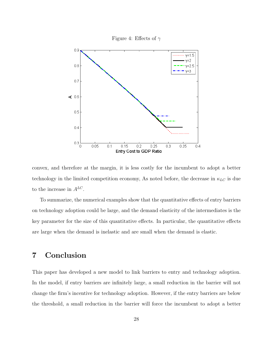

convex, and therefore at the margin, it is less costly for the incumbent to adopt a better technology in the limited competition economy, As noted before, the decrease in  $\kappa_{LC}$  is due to the increase in  $A^{LC}$ .

To summarize, the numerical examples show that the quantitative effects of entry barriers on technology adoption could be large, and the demand elasticity of the intermediates is the key parameter for the size of this quantitative effects. In particular, the quantitative effects are large when the demand is inelastic and are small when the demand is elastic.

## 7 Conclusion

This paper has developed a new model to link barriers to entry and technology adoption. In the model, if entry barriers are infinitely large, a small reduction in the barrier will not change the firm's incentive for technology adoption. However, if the entry barriers are below the threshold, a small reduction in the barrier will force the incumbent to adopt a better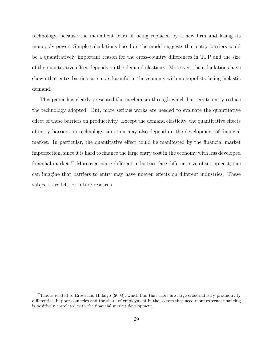technology, because the incumbent fears of being replaced by a new firm and losing its monopoly power. Simple calculations based on the model suggests that entry barriers could be a quantitatively important reason for the cross-country differences in TFP and the size of the quantitative effect depends on the demand elasticity. Moreover, the calculations have shown that entry barriers are more harmful in the economy with monopolists facing inelastic demand.

This paper has clearly presented the mechanism through which barriers to entry reduce the technology adopted. But, more serious works are needed to evaluate the quantitative effect of these barriers on productivity. Except the demand elasticity, the quantitative effects of entry barriers on technology adoption may also depend on the development of financial market. In particular, the quantitative effect could be manifested by the financial market imperfection, since it is hard to finance the large entry cost in the economy with less developed financial market.<sup>17</sup> Moreover, since different industries face different size of set-up cost, one can imagine that barriers to entry may have uneven effects on different industries. These subjects are left for future research.

<sup>&</sup>lt;sup>17</sup>This is related to Erosa and Hidalgo (2008), which find that there are large cross-industry productivity differentials in poor countries and the share of employment in the sectors that need more external financing is positively correlated with the financial market development.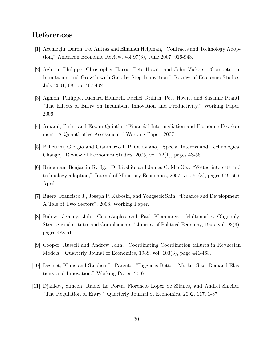## References

- [1] Acemoglu, Daron, Pol Antras and Elhanan Helpman, "Contracts and Technology Adoption," American Economic Review, vol 97(3), June 2007, 916-943.
- [2] Aghion, Philippe, Christopher Harris, Pete Howitt and John Vickers, "Competition, Immitation and Growth with Step-by Step Innovation," Review of Economic Studies, July 2001, 68, pp. 467-492
- [3] Aghion, Philippe, Richard Blundell, Rachel Griffith, Pete Howitt and Susanne Prantl, "The Effects of Entry on Incumbent Innovation and Productivity," Working Paper, 2006.
- [4] Amaral, Pedro and Erwan Quintin, "Financial Intermediation and Economic Development: A Quantitative Assessment," Working Paper, 2007
- [5] Bellettini, Giorgio and Gianmarco I. P. Ottaviano, "Special Interess and Technological Change," Review of Economics Studies, 2005, vol. 72(1), pages 43-56
- [6] Bridgman, Benjamin R., Igor D. Livshits and James C. MacGee, "Vested interests and technology adoption," Journal of Monetary Economics, 2007, vol. 54(3), pages 649-666, April
- [7] Buera, Francisco J., Joseph P. Kaboski, and Yongseok Shin, "Finance and Development: A Tale of Two Sectors", 2008, Working Paper.
- [8] Bulow, Jeremy, John Geanakoplos and Paul Klemperer, "Multimarket Oligopoly: Strategic substitutes and Complements," Journal of Political Economy, 1995, vol. 93(3), pages 488-511.
- [9] Cooper, Russell and Andrew John, "Coordinating Coordination failures in Keynesian Models," Quarterly Jounal of Economics, 1988, vol. 103(3), page 441-463.
- [10] Desmet, Klaus and Stephen L. Parente, "Bigger is Better: Market Size, Demand Elasticity and Innovation," Working Paper, 2007
- [11] Djankov, Simeon, Rafael La Porta, Florencio Lopez de Silanes, and Andrei Shleifer, "The Regulation of Entry," Quarterly Journal of Economics, 2002, 117, 1-37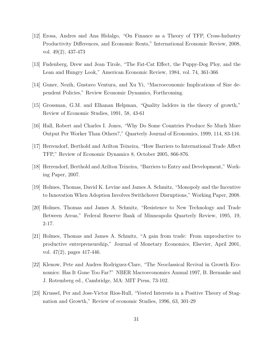- [12] Erosa, Andres and Ana Hidalgo, "On Finance as a Theory of TFP, Cross-Industry Productivity Differences, and Economic Rents," International Economic Review, 2008, vol. 49(2), 437-473
- [13] Fudenberg, Drew and Jean Tirole, "The Fat-Cat Effect, the Puppy-Dog Ploy, and the Lean and Hungry Look," American Economic Review, 1984, vol. 74, 361-366
- [14] Guner, Nezih, Gustavo Ventura, and Xu Yi, "Macroeconomic Implications of Size dependent Policies," Review Economic Dynamics, Forthcoming.
- [15] Grossman, G.M. and Elhanan Helpman, "Quality ladders in the theory of growth," Review of Economic Studies, 1991, 58, 43-61
- [16] Hall, Robert and Charles I. Jones, "Why Do Some Countries Produce So Much More Output Per Worker Than Others?," Quarterly Journal of Economics, 1999, 114, 83-116.
- [17] Herrendorf, Berthold and Arilton Teixeira, "How Barriers to International Trade Affect TFP," Review of Economic Dynamics 8, October 2005, 866-876.
- [18] Herrendorf, Berthold and Arilton Teixeira, "Barriers to Entry and Development," Working Paper, 2007.
- [19] Holmes, Thomas, David K. Levine and James A. Schmitz, "Monopoly and the Incentive to Innovation When Adoption Involves Swithchover Disruptions," Working Paper, 2008.
- [20] Holmes, Thomas and James A. Schmitz, "Resistence to New Technology and Trade Between Areas," Federal Reserve Bank of Minneapolis Quarterly Review, 1995, 19, 2-17.
- [21] Holmes, Thomas and James A. Schmitz, "A gain from trade: From unproductive to productive entrepreneurship," Journal of Monetary Economics, Elsevier, April 2001, vol. 47(2), pages 417-446.
- [22] Klenow, Pete and Andres Rodriguez-Clare, "The Neoclassical Revival in Growth Economics: Has It Gone Too Far?" NBER Macroeconomics Annual 1997, B. Bernanke and J. Rotemberg ed., Cambridge, MA: MIT Press, 73-102.
- [23] Krussel, Per and Jose-Victor Rios-Rull, "Vested Interests in a Positive Theory of Stagnation and Growth," Review of economic Studies, 1996, 63, 301-29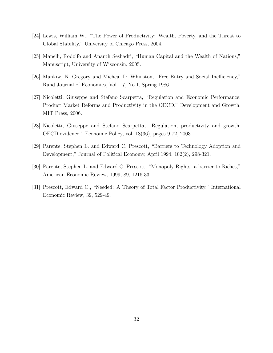- [24] Lewis, William W., "The Power of Productivity: Wealth, Poverty, and the Threat to Global Stability," University of Chicago Press, 2004.
- [25] Manelli, Rodolfo and Ananth Seshadri, "Human Capital and the Wealth of Nations," Manuscript, University of Wisconsin, 2005.
- [26] Mankiw, N. Gregory and Micheal D. Whinston, "Free Entry and Social Inefficiency," Rand Journal of Economics, Vol. 17, No.1, Spring 1986
- [27] Nicoletti, Giuseppe and Stefano Scarpetta, "Regulation and Economic Performance: Product Market Reforms and Productivity in the OECD," Development and Growth, MIT Press, 2006.
- [28] Nicoletti, Giuseppe and Stefano Scarpetta, "Regulation, productivity and growth: OECD evidence," Economic Policy, vol. 18(36), pages 9-72, 2003.
- [29] Parente, Stephen L. and Edward C. Prescott, "Barriers to Technology Adoption and Development," Journal of Political Economy, April 1994, 102(2), 298-321.
- [30] Parente, Stephen L. and Edward C. Prescott, "Monopoly Rights: a barrier to Riches," American Economic Review, 1999, 89, 1216-33.
- [31] Prescott, Edward C., "Needed: A Theory of Total Factor Productivity," International Economic Review, 39, 529-49.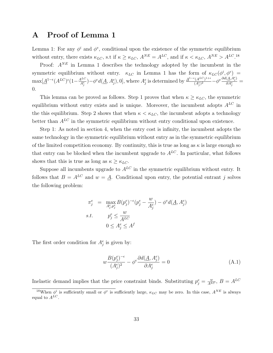## A Proof of Lemma 1

Lemma 1: For any  $\phi^i$  and  $\phi^e$ , conditional upon the existence of the symmetric equilibrium without entry, there exists  $\kappa_{LC}$ , s.t if  $\kappa \ge \kappa_{LC}$ ,  $A^{NE} = A^{LC}$ , and if  $\kappa < \kappa_{LC}$ ,  $A^{NE} > A^{LC}$ .<sup>18</sup>

Proof:  $A^{NE}$  in Lemma 1 describes the technology adopted by the incumbent in the symmetric equilibrium without entry.  $\kappa_{LC}$  in Lemma 1 has the form of  $\kappa_{LC}(\phi^i, \phi^e)$  =  $\max[\underline{A}^{1-\epsilon}(A^{LC})^{\epsilon}(1-\frac{A^{LC}}{4e})]$  $A_j^{LC}$ ) –  $\phi^e d(\underline{A}, A_j^e)$ , 0], where  $A_j^e$  is determined by  $\frac{A^{1-\epsilon}(A^{LC})^{1+\epsilon}}{(A_j^e)^2}$  $\frac{(\overline{A^{LC}})^{1+\epsilon}}{(\overline{A^{e}_{j}})^{2}} - \phi^{e} \frac{\partial d(\underline{A}, A^{e}_{j})}{\partial A^{e}_{j}}$  $\frac{(\Delta, \Lambda_j)}{\partial A_j^e} =$ 0.

This lemma can be proved as follows. Step 1 proves that when  $\kappa \geq \kappa_{LC}$ , the symmetric equilibrium without entry exists and is unique. Moreover, the incumbent adopts  $A^{LC}$  in the this equilibrium. Step 2 shows that when  $\kappa < \kappa_{LC}$ , the incumbent adopts a technology better than  $A^{LC}$  in the symmetric equilibrium without entry conditional upon existence.

Step 1: As noted in section 4, when the entry cost is infinity, the incumbent adopts the same technology in the symmetric equilibrium without entry as in the symmetric equilibrium of the limited competition economy. By continuity, this is true as long as  $\kappa$  is large enough so that entry can be blocked when the incumbent upgrade to  $A^{LC}$ . In particular, what follows shows that this is true as long as  $\kappa \geq \kappa_{LC}$ .

Suppose all incumbents upgrade to  $A^{LC}$  in the symmetric equilibrium without entry. It follows that  $B = A^{LC}$  and  $w = A$ . Conditional upon entry, the potential entrant j solves the following problem:

$$
\pi_j^e = \max_{A_j^e, p_j^e} B(p_j^e)^{-\epsilon} (p_j^e - \frac{w}{A_j^e}) - \phi^e d(\underline{A}, A_j^e)
$$
  
s.t. 
$$
p_j^e \le \frac{w}{A^{LC}}
$$

$$
0 \le A_j^e \le A^f
$$

The first order condition for  $A_j^e$  is given by:

$$
w \frac{B(p_j^e)^{-\epsilon}}{(A_j^e)^2} - \phi^e \frac{\partial d(\underline{A}, A_j^e)}{\partial A_j^e} = 0
$$
\n(A.1)

Inelastic demand implies that the price constraint binds. Substituting  $p_j^e = \frac{w}{A^{LC}}$ ,  $B = A^{LC}$ 

<sup>&</sup>lt;sup>18</sup>When  $\phi^i$  is sufficiently small or  $\phi^e$  is sufficiently large,  $\kappa_{LC}$  may be zero. In this case,  $A^{NE}$  is always equal to  $A^{\dot{L}C}$ .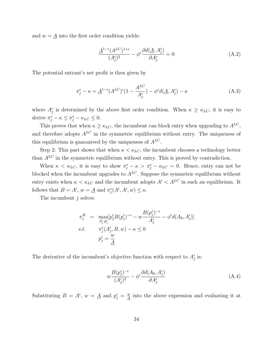and  $w = \underline{A}$  into the first order condition yields:

$$
\frac{\underline{A}^{1-\epsilon}(A^{LC})^{1+\epsilon}}{(A_j^e)^2} - \phi^e \frac{\partial d(\underline{A}, A_j^e)}{\partial A_j^e} = 0
$$
\n(A.2)

The potential entrant's net profit is then given by

$$
\pi_j^e - \kappa = \underline{A}^{1-\epsilon} (A^{LC})^{\epsilon} (1 - \frac{A^{LC}}{A_j^e}) - \phi^e d(\underline{A}, A_j^e) - \kappa
$$
\n(A.3)

where  $A_j^e$  is determined by the above first order condition. When  $\kappa \geq \kappa_{LC}$ , it is easy to derive  $\pi_j^e - \kappa \leq \pi_j^e - \kappa_{LC} \leq 0$ .

This proves that when  $\kappa \geq \kappa_{LC}$ , the incumbent can block entry when upgrading to  $A^{LC}$ , and therefore adopts  $A^{LC}$  in the symmetric equilibrium without entry. The uniqueness of this equilibrium is guaranteed by the uniqueness of  $A^{LC}.$ 

Step 2: This part shows that when  $\kappa < \kappa_{LC}$ , the incumbent chooses a technology better than  $A^{LC}$  in the symmetric equilibrium without entry. This is proved by contradiction.

When  $\kappa < \kappa_{LC}$ , it is easy to show  $\pi_j^e - \kappa > \pi_j^e - \kappa_{LC} = 0$ . Hence, entry can not be blocked when the incumbent upgrades to  $A^{LC}$ . Suppose the symmetric equilibrium without entry exists when  $\kappa < \kappa_{LC}$  and the incumbent adopts  $A^{i} < A^{LC}$  in such an equilibrium. It follows that  $B = A^i$ ,  $w = \underline{A}$  and  $\pi_j^e(A^i, A^i, w) \leq \kappa$ .

The incumbent  $j$  solves:

$$
\pi_j^B = \max_{A_j^i, p_j^i} [p_j^i B(p_j^i)^{-\epsilon} - w \frac{B(p_j^i)^{-\epsilon}}{A_j^i} - \phi^i d(A_0, A_j^i)]
$$
  
s.t. 
$$
\pi_j^e(A_j^i, B, w) - \kappa \le 0
$$

$$
p_j^i = \frac{w}{A}
$$

The derivative of the incumbent's objective function with respect to  $A_j^i$  is:

$$
w \frac{B(p_j^i)^{-\epsilon}}{(A_j^i)^2} - \phi^i \frac{\partial d(A_0, A_j^i)}{\partial A_j^i}
$$
\n(A.4)

Substituting  $B = A^i$ ,  $w = \underline{A}$  and  $p_j^i = \frac{w}{A}$  $\frac{w}{A}$  into the above expression and evaluating it at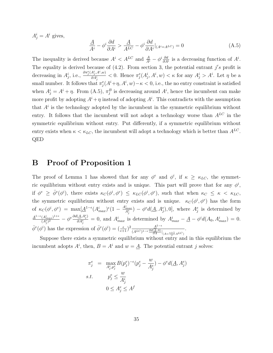$A_j^i = A^i$  gives,

$$
\frac{A}{A^i} - \phi^i \frac{\partial d}{\partial A^i} > \frac{A}{A^{LC}} - \phi^i \frac{\partial d}{\partial A^i}|_{(A^i = A^{LC})} = 0
$$
\n(A.5)

The inequality is derived because  $A^i < A^{LC}$  and  $\frac{A}{A^i} - \phi^i \frac{\partial d}{\partial A^i}$  $\frac{\partial d}{\partial A^i}$  is a decreasing function of  $A^i$ . The equality is derived because of  $(4.2)$ . From section 3, the potential entrant j's profit is decreasing in  $A_j^i$ , i.e.,  $\frac{\partial \pi_j^e(A_j^i, A^i, w)}{\partial A_j^i}$  $\frac{A_j^2, A^*, w_j}{\partial A_j^i}$  < 0. Hence  $\pi_j^e(A_j^i, A^i, w) < \kappa$  for any  $A_j^i > A^i$ . Let  $\eta$  be a small number. It follows that  $\pi_j^e(A^i + \eta, A^i, w) - \kappa < 0$ , i.e., the no entry constraint is satisfied when  $A_j^i = A^i + \eta$ . From (A.5),  $\pi_j^B$  is decreasing around  $A^i$ , hence the incumbent can make more profit by adopting  $A^i + \eta$  instead of adopting  $A^i$ . This contradicts with the assumption that  $A^i$  is the technology adopted by the incumbent in the symmetric equilibrium without entry. It follows that the incumbent will not adopt a technology worse than  $A^{LC}$  in the symmetric equilibrium without entry. Put differently, if a symmetric equilibrium without entry exists when  $\kappa < \kappa_{LC}$ , the incumbent will adopt a technology which is better than  $A^{LC}$ . QED

## B Proof of Proposition 1

The proof of Lemma 1 has showed that for any  $\phi^e$  and  $\phi^i$ , if  $\kappa \geq \kappa_{LC}$ , the symmetric equilibrium without entry exists and is unique. This part will prove that for any  $\phi^i$ , if  $\phi^e \geq \bar{\phi}^e(\phi^i)$ , there exists  $\kappa_C(\phi^i, \phi^e) \leq \kappa_{LC}(\phi^i, \phi^e)$ , such that when  $\kappa_C \leq \kappa \langle \kappa_{LC},$ the symmetric equilibrium without entry exists and is unique.  $\kappa_C(\phi^i, \phi^e)$  has the form of  $\kappa_C(\phi^i, \phi^e)$  = max $\underline{[A]}^{1-\epsilon}(A^i_{max})^{\epsilon} (1 - \frac{A^i_{max}}{A^e_{\epsilon}})$  $\mathcal{A}_{f}^{max}_{A_{f}^{e}}$ ) –  $\phi^{e}d(\underline{A}, A_{j}^{e}), 0$ , where  $A_{j}^{e}$  is determined by  $\underline{A}^{1-\epsilon}(A_{max}^i)^{1+\epsilon}$  $\frac{(A^i_{max})^{1+\epsilon}}{(A^e_j)^2} - \phi^e \frac{\partial d(\underline{A}, A^e_j)}{\partial A^e_j}$  $\frac{(\Delta A_j^2)}{\partial A_j^e} = 0$ , and  $A_{max}^i$  is determined by  $A_{max}^i - \underline{A} - \phi^i d(A_0, A_{max}^i) = 0$ .  $\bar{\phi}^e(\phi^i)$  has the expression of  $\bar{\phi}^e(\phi^i) = \frac{\epsilon}{(\epsilon+1)}^2 \frac{A^{1-\epsilon}}{(A^{LC})^{1-\epsilon}}$  $(A^{LC})^{1-\epsilon} \frac{\partial d(A,A)}{\partial A}\Big|_{(A=\frac{\epsilon+1}{\epsilon} A^{LC})}$ .

Suppose there exists a symmetric equilibrium without entry and in this equilibrium the incumbent adopts  $A^i$ , then,  $B = A^i$  and  $w = \underline{A}$ . The potential entrant j solves:

$$
\pi_j^e = \max_{A_j^e, p_j^e} B(p_j^e)^{-\epsilon} (p_j^e - \frac{w}{A_j^e}) - \phi^e d(\underline{A}, A_j^e)
$$
  
s.t. 
$$
p_j^e \le \frac{w}{A_j^i}
$$

$$
0 \le A_j^e \le A^f
$$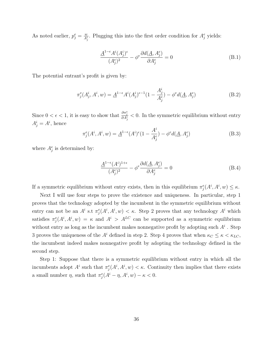As noted earlier,  $p_j^e = \frac{w}{A_j^i}$ . Plugging this into the first order condition for  $A_j^e$  yields:

$$
\frac{\underline{A}^{1-\epsilon}A^{i}(A_{j}^{i})^{\epsilon}}{(A_{j}^{e})^{2}} - \phi^{e} \frac{\partial d(\underline{A}, A_{j}^{e})}{\partial A_{j}^{e}} = 0
$$
\n(B.1)

The potential entrant's profit is given by:

$$
\pi_j^e(A_j^i, A^i, w) = \underline{A}^{1-\epsilon} A^i(A_j^i)^{\epsilon-1} (1 - \frac{A_j^i}{A_j^e}) - \phi^e d(\underline{A}, A_j^e)
$$
(B.2)

Since  $0 < \epsilon < 1$ , it is easy to show that  $\frac{\partial \pi_j^e}{\partial A_j^i} < 0$ . In the symmetric equilibrium without entry  $A_j^i = A_j^i$ , hence

$$
\pi_j^e(A^i, A^i, w) = \underline{A}^{1-\epsilon}(A^i)^{\epsilon}(1 - \frac{A^i}{A^e_j}) - \phi^e d(\underline{A}, A^e_j)
$$
(B.3)

where  $A_j^e$  is determined by:

$$
\frac{\underline{A}^{1-\epsilon}(A^i)^{1+\epsilon}}{(A^e_j)^2} - \phi^e \frac{\partial d(\underline{A}, A^e_j)}{\partial A^e_j} = 0
$$
\n(B.4)

If a symmetric equilibrium without entry exists, then in this equilibrium  $\pi_j^e(A^i, A^i, w) \leq \kappa$ .

Next I will use four steps to prove the existence and uniqueness. In particular, step 1 proves that the technology adopted by the incumbent in the symmetric equilibrium without entry can not be an  $A^i$  s.t  $\pi_j^e(A^i, A^i, w) < \kappa$ . Step 2 proves that any technology  $A^i$  which satisfies  $\pi_j^e(A^i, A^i, w) = \kappa$  and  $A^i > A^{LC}$  can be supported as a symmetric equilibrium without entry as long as the incumbent makes nonnegative profit by adopting such  $A<sup>i</sup>$ . Step 3 proves the uniqueness of the  $A^i$  defined in step 2. Step 4 proves that when  $\kappa_C \leq \kappa \leq \kappa_{LC}$ , the incumbent indeed makes nonnegative profit by adopting the technology defined in the second step.

Step 1: Suppose that there is a symmetric equilibrium without entry in which all the incumbents adopt  $A^i$  such that  $\pi_j^e(A^i, A^i, w) < \kappa$ . Continuity then implies that there exists a small number  $\eta$ , such that  $\pi_j^e(A^i - \eta, A^i, w) - \kappa < 0$ .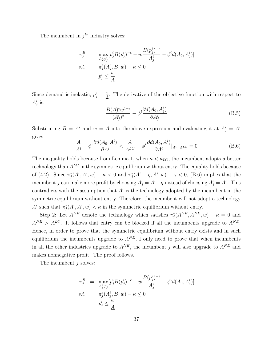The incumbent in  $j<sup>th</sup>$  industry solves:

$$
\pi_j^B = \max_{A_j^i, p_j^i} [p_j^i B(p_j^i)^{-\epsilon} - w \frac{B(p_j^i)^{-\epsilon}}{A_j^i} - \phi^i d(A_0, A_j^i)]
$$
  
s.t. 
$$
\pi_j^e(A_j^i, B, w) - \kappa \le 0
$$

$$
p_j^i \le \frac{w}{A}
$$

Since demand is inelastic,  $p_j^i = \frac{w}{A}$  $\frac{w}{A}$ . The derivative of the objective function with respect to  $A_j^i$  is:

$$
\frac{B(\underline{A})^{\epsilon}w^{1-\epsilon}}{(A_j^i)^2} - \phi^i \frac{\partial d(A_0, A_j^i)}{\partial A_j^i}
$$
(B.5)

Substituting  $B = A^i$  and  $w = \underline{A}$  into the above expression and evaluating it at  $A^i_j = A^i$ gives,

$$
\frac{\underline{A}}{A^i} - \phi^i \frac{\partial d(A_0, A^i)}{\partial A^i} < \frac{\underline{A}}{A^{LC}} - \phi^i \frac{\partial d(A_0, A^i)}{\partial A^i}|_{A^i = A^{LC}} = 0 \tag{B.6}
$$

The inequality holds because from Lemma 1, when  $\kappa < \kappa_{LC}$ , the incumbent adopts a better technology than  $A^{LC}$  in the symmetric equilibrium without entry. The equality holds because of (4.2). Since  $\pi_j^e(A^i, A^i, w) - \kappa < 0$  and  $\pi_j^e(A^i - \eta, A^i, w) - \kappa < 0$ , (B.6) implies that the incumbent j can make more profit by choosing  $A_j^i = A^i - \eta$  instead of choosing  $A_j^i = A^i$ . This contradicts with the assumption that  $A^i$  is the technology adopted by the incumbent in the symmetric equilibrium without entry. Therefore, the incumbent will not adopt a technology  $A^i$  such that  $\pi_j^e(A^i, A^i, w) < \kappa$  in the symmetric equilibrium without entry.

Step 2: Let  $A^{NE}$  denote the technology which satisfies  $\pi_j^e(A^{NE}, A^{NE}, w) - \kappa = 0$  and  $A^{NE} > A^{LC}$ . It follows that entry can be blocked if all the incumbents upgrade to  $A^{NE}$ . Hence, in order to prove that the symmetric equilibrium without entry exists and in such equilibrium the incumbents upgrade to  $A^{NE}$ , I only need to prove that when incumbents in all the other industries upgrade to  $A^{NE}$ , the incumbent j will also upgrade to  $A^{NE}$  and makes nonnegative profit. The proof follows.

The incumbent  $j$  solves:

$$
\pi_j^B = \max_{A_j^i, p_j^i} [p_j^i B(p_j^i)^{-\epsilon} - w \frac{B(p_j^i)^{-\epsilon}}{A_j^i} - \phi^i d(A_0, A_j^i)]
$$
  
s.t. 
$$
\pi_j^e(A_j^i, B, w) - \kappa \le 0
$$

$$
p_j^i \le \frac{w}{\underline{A}}
$$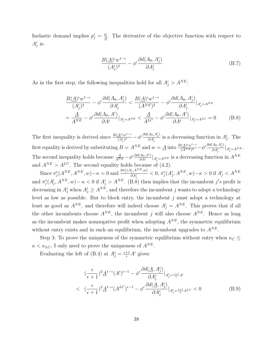Inelastic demand implies  $p_j^i = \frac{w}{A}$  $\frac{w}{A}$ . The derivative of the objective function with respect to  $A_j^i$  is:

$$
\frac{B(\underline{A})^{\epsilon}w^{1-\epsilon}}{(A_j^i)^2} - \phi^i \frac{\partial d(A_0, A_j^i)}{\partial A_j^i}
$$
\n(B.7)

As in the first step, the following inequalities hold for all  $A_j^i > A^{NE}$ .

$$
\frac{B(\underline{A})^{\epsilon}w^{1-\epsilon}}{(A_j^i)^2} - \phi^i \frac{\partial d(A_0, A_j^i)}{\partial A_j^i} < \frac{B(\underline{A})^{\epsilon}w^{1-\epsilon}}{(A^{NE})^2} - \phi^i \frac{\partial d(A_0, A_j^i)}{\partial A_j^i}|_{A_j^i = A^{NE}}
$$
\n
$$
= \frac{\underline{A}}{A^{NE}} - \phi^i \frac{\partial d(A_0, A^i)}{\partial A^i}|_{A_j^i = A^{NE}} < \frac{\underline{A}}{A^{LC}} - \phi^i \frac{\partial d(A_0, A^i)}{\partial A^i}|_{A_j^i = A^{LC}} = 0 \tag{B.8}
$$

The first inequality is derived since  $\frac{B(A)^{\epsilon}w^{1-\epsilon}}{(A^{\epsilon})^2}$  $\frac{A)^{\epsilon}w^{1-\epsilon}}{(A_{j}^{i})^{2}}-\phi^{i}\frac{\partial d(A_{0},A_{j}^{i})}{\partial A_{j}^{i}}$  $\frac{A_0, A_j}{\partial A_j^i}$  is a decreasing function in  $A_j^i$ . The first equality is derived by substituting  $B = A^{NE}$  and  $w = \underline{A}$  into  $\frac{B(A)^{\epsilon}w^{1-\epsilon}}{(ANE)^2}$  $\frac{(A)^{\epsilon}w^{1-\epsilon}}{(A^{NE})^2} - \phi^i \frac{\partial d(A_0, A_j^i)}{\partial A_i^i}$  $\frac{\partial A_{ij}^{i}}{\partial A_{j}^{i}}\Big|_{A_{j}^{i}=A^{NE}}.$ The second inequality holds because  $\frac{A}{A^{NE}} - \phi^i \frac{\partial d(A_0, A^i)}{\partial A^i}$  $\frac{A_0, A^i}{\partial A^i}|_{A_j^i = A^{NE}}$  is a decreasing function in  $A^{NE}$ and  $A^{NE} > A^{LC}$ . The second equality holds because of (4.2).

Since  $\pi_j^e(A^{NE}, A^{NE}, w) - \kappa = 0$  and  $\frac{\partial \pi_j^e(A_j^i, A^{NE}, w)}{\partial A^i}$  $\frac{(\tilde{A}_{j}^{i},A^{N-E},w)}{\partial A_{j}^{i}} < 0, \pi^{e}_{j}(A_{j}^{i},A^{NE},w)-\kappa > 0 \text{ if } A_{j}^{i} < A^{NE}$ and  $\pi_j^e(A_j^i, A^{NE}, w) - \kappa < 0$  if  $A_j^i > A^{NE}$ . (B.8) then implies that the incumbent j's profit is decreasing in  $A_j^i$  when  $A_j^i \ge A^{NE}$ , and therefore the incumbent j wants to adopt a technology level as low as possible. But to block entry, the incumbent j must adopt a technology at least as good as  $A^{NE}$ , and therefore will indeed choose  $A_j^i = A^{NE}$ . This proves that if all the other incumbents choose  $A^{NE}$ , the incumbent j will also choose  $A^{NE}$ . Hence as long as the incumbent makes nonnegative profit when adopting  $A^{NE}$ , the symmetric equilibrium without entry exists and in such an equilibrium, the incumbent upgrades to  $A^{NE}$ .

Step 3: To prove the uniqueness of the symmetric equilibrium without entry when  $\kappa_C \leq$  $\kappa < \kappa_{LC}$ , I only need to prove the uniqueness of  $A^{NE}$ .

Evaluating the left of (B.4) at  $A_j^e = \frac{\epsilon + 1}{\epsilon} A^i$  gives:

$$
\left(\frac{\epsilon}{\epsilon+1}\right)^2 \underline{A}^{1-\epsilon} (A^i)^{\epsilon-1} - \phi^{\epsilon} \frac{\partial d(\underline{A}, A_j^{\epsilon})}{\partial A_j^{\epsilon}}|_{A_j^{\epsilon} = \frac{\epsilon+1}{\epsilon} A^i}
$$
\n
$$
< \left(\frac{\epsilon}{\epsilon+1}\right)^2 \underline{A}^{1-\epsilon} (A^{LC})^{\epsilon-1} - \phi^{\epsilon} \frac{\partial d(\underline{A}, A_j^{\epsilon})}{\partial A_j^{\epsilon}}|_{A_j^{\epsilon} = \frac{\epsilon+1}{\epsilon} A^{LC}} < 0 \tag{B.9}
$$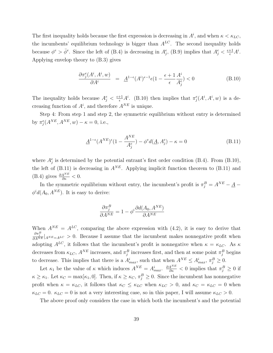The first inequality holds because the first expression is decreasing in  $A^i$ , and when  $\kappa < \kappa_{LC}$ , the incumbents' equilibrium technology is bigger than  $A^{LC}$ . The second inequality holds because  $\phi^e > \bar{\phi}^e$ . Since the left of (B.4) is decreasing in  $A_j^e$ , (B.9) implies that  $A_j^e < \frac{\epsilon + 1}{\epsilon} A^i$ . Applying envelop theory to (B.3) gives

$$
\frac{\partial \pi_j^e(A^i, A^i, w)}{\partial A^i} = \underline{A}^{1-\epsilon}(A^i)^{\epsilon-1}\epsilon (1 - \frac{\epsilon+1}{\epsilon} \frac{A^i}{A^e_j}) < 0 \tag{B.10}
$$

The inequality holds because  $A_j^e \leq \frac{\epsilon+1}{\epsilon} A^i$ . (B.10) then implies that  $\pi_j^e(A^i, A^i, w)$  is a decreasing function of  $A^i$ , and therefore  $A^{NE}$  is unique.

Step 4: From step 1 and step 2, the symmetric equilibrium without entry is determined by  $\pi_j^e(A^{NE}, A^{NE}, w) - \kappa = 0$ , i.e.,

$$
\underline{A}^{1-\epsilon}(A^{NE})^{\epsilon}(1-\frac{A^{NE}}{A_j^e}) - \phi^e d(\underline{A}, A_j^e) - \kappa = 0
$$
 (B.11)

where  $A_j^e$  is determined by the potential entrant's first order condition (B.4). From (B.10), the left of  $(B.11)$  is decreasing in  $A^{NE}$ . Applying implicit function theorem to  $(B.11)$  and (B.4) gives  $\frac{\partial A^{NE}}{\partial \kappa} < 0$ .

In the symmetric equilibrium without entry, the incumbent's profit is  $\pi_j^B = A^{NE} - \underline{A}$  $\phi^i d(A_0, A^{NE})$ . It is easy to derive:

$$
\frac{\partial \pi_j^B}{\partial A^{NE}} = 1 - \phi^i \frac{\partial d(A_0, A^{NE})}{\partial A^{NE}}
$$

When  $A^{NE} = A^{LC}$ , comparing the above expression with (4.2), it is easy to derive that  $\frac{\partial \pi_j^B}{\partial A^{NE}}|_{A^{NE}} = A^{LC} > 0$ . Because I assume that the incumbent makes nonnegative profit when adopting  $A^{LC}$ , it follows that the incumbent's profit is nonnegative when  $\kappa = \kappa_{LC}$ . As  $\kappa$ decreases from  $\kappa_{LC}$ ,  $A^{NE}$  increases, and  $\pi_j^B$  increases first, and then at some point  $\pi_j^B$  begins to decrease. This implies that there is a  $A_{max}^i$ , such that when  $A^{NE} \le A_{max}^i$ ,  $\pi_j^B \ge 0$ .

Let  $\kappa_1$  be the value of  $\kappa$  which induces  $A^{NE} = A_{max}^i$ .  $\frac{\partial A^{NE}}{\partial \kappa} < 0$  implies that  $\pi_j^B \geq 0$  if  $\kappa \geq \kappa_1$ . Let  $\kappa_C = \max[\kappa_1, 0]$ . Then, if  $\kappa \geq \kappa_C$ ,  $\pi_j^B \geq 0$ . Since the incumbent has nonnegative profit when  $\kappa = \kappa_{LC}$ , it follows that  $\kappa_C \leq \kappa_{LC}$  when  $\kappa_{LC} > 0$ , and  $\kappa_C = \kappa_{LC} = 0$  when  $\kappa_{LC} = 0$ .  $\kappa_{LC} = 0$  is not a very interesting case, so in this paper, I will assume  $\kappa_{LC} > 0$ .

The above proof only considers the case in which both the incumbent's and the potential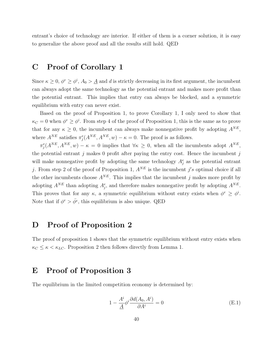entrant's choice of technology are interior. If either of them is a corner solution, it is easy to generalize the above proof and all the results still hold. QED

## C Proof of Corollary 1

Since  $\kappa \geq 0$ ,  $\phi^e \geq \phi^i$ ,  $A_0 > \underline{A}$  and d is strictly decreasing in its first argument, the incumbent can always adopt the same technology as the potential entrant and makes more profit than the potential entrant. This implies that entry can always be blocked, and a symmetric equilibrium with entry can never exist.

Based on the proof of Proposition 1, to prove Corollary 1, I only need to show that  $\kappa_C = 0$  when  $\phi^e \ge \phi^i$ . From step 4 of the proof of Proposition 1, this is the same as to prove that for any  $\kappa \geq 0$ , the incumbent can always make nonnegative profit by adopting  $A^{NE}$ , where  $A^{NE}$  satisfies  $\pi_j^e(A^{NE}, A^{NE}, w) - \kappa = 0$ . The proof is as follows.

 $\pi_j^e(A^{NE}, A^{NE}, w) - \kappa = 0$  implies that  $\forall \kappa \geq 0$ , when all the incumbents adopt  $A^{NE}$ , the potential entrant j makes 0 profit after paying the entry cost. Hence the incumbent j will make nonnegative profit by adopting the same technology  $A_j^e$  as the potential entrant j. From step 2 of the proof of Proposition 1,  $A^{NE}$  is the incumbent j's optimal choice if all the other incumbents choose  $A^{NE}$ . This implies that the incumbent j makes more profit by adopting  $A^{NE}$  than adopting  $A_j^e$ , and therefore makes nonnegative profit by adopting  $A^{NE}$ . This proves that for any  $\kappa$ , a symmetric equilibrium without entry exists when  $\phi^e \geq \phi^i$ . Note that if  $\phi^e > \bar{\phi}^e$ , this equilibrium is also unique. QED

## D Proof of Proposition 2

The proof of proposition 1 shows that the symmetric equilibrium without entry exists when  $\kappa_C \leq \kappa \lt \kappa_{LC}$ . Proposition 2 then follows directly from Lemma 1.

## E Proof of Proposition 3

The equilibrium in the limited competition economy is determined by:

$$
1 - \frac{A^i}{\underline{A}} \phi^i \frac{\partial d(A_0, A^i)}{\partial A^i} = 0
$$
 (E.1)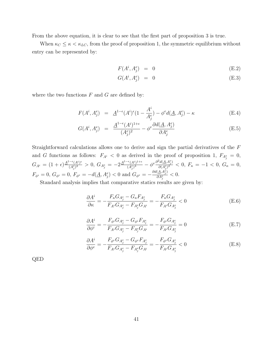From the above equation, it is clear to see that the first part of proposition 3 is true.

When  $\kappa_C \leq \kappa \leq \kappa_{LC}$ , from the proof of proposition 1, the symmetric equilibrium without entry can be represented by:

$$
F(A^i, A^e_j) = 0 \tag{E.2}
$$

$$
G(A^i, A^e_j) = 0 \tag{E.3}
$$

where the two functions  $F$  and  $G$  are defined by:

$$
F(A^i, A^e_j) = \underline{A}^{1-\epsilon}(A^i)^{\epsilon}(1 - \frac{A^i}{A^e_j}) - \phi^e d(\underline{A}, A^e_j) - \kappa
$$
 (E.4)

$$
G(A^i, A^e_j) = \frac{A^{1-\epsilon}(A^i)^{1+\epsilon}}{(A^e_j)^2} - \phi^e \frac{\partial d(\underline{A}, A^e_j)}{\partial A^e_j}
$$
(E.5)

Straightforward calculations allows one to derive and sign the partial derivatives of the F and G functions as follows:  $F_{A^i} < 0$  as derived in the proof of proposition 1,  $F_{A_j^e} = 0$ ,  $G_{A^i} = (1+\epsilon) \frac{A^{1-\epsilon}(A^i)^{\epsilon}}{(A^e)^2}$  $\frac{(-\epsilon_{(A^{i})^{\epsilon}})}{(A_{j}^{e})^{2}}>0,~G_{A_{j}^{e}}=-2\frac{A^{1-\epsilon_{(A^{i})^{1+\epsilon}}}}{(A_{j}^{e})^{3}}$  $\frac{(\mathcal{A}^{i})^{1+\epsilon}}{(\mathcal{A}^{e}_{j})^{3}}-\phi^{e}\frac{\partial^{2}d(\underline{A},\mathcal{A}^{e}_{j})}{\partial(\mathcal{A}^{e}_{j})^{2}}$  $\frac{d(\Delta, A_j)}{\partial (A_j^e)^2} < 0, F_{\kappa} = -1 < 0, G_{\kappa} = 0,$  $F_{\phi^i}=0,\,G_{\phi^i}=0,\,F_{\phi^e}=-d(\underline{A},A^e_j)<0\,\,\text{and}\,\,G_{\phi^e}=-\frac{\partial d(\underline{A},A^e_j)}{\partial A^e_j}$  $\frac{\overline{\langle A, A_j \rangle}}{\partial A_j^e} < 0.$ 

Standard analysis implies that comparative statics results are given by:

$$
\frac{\partial A^{i}}{\partial \kappa} = -\frac{F_{\kappa} G_{A_{j}^{e}} - G_{\kappa} F_{A_{j}^{e}}}{F_{A^{i}} G_{A_{j}^{e}} - F_{A_{j}^{e}} G_{A^{i}}} = -\frac{F_{\kappa} G_{A_{j}^{e}}}{F_{A^{i}} G_{A_{j}^{e}}} < 0
$$
\n(E.6)

$$
\frac{\partial A^{i}}{\partial \phi^{i}} = -\frac{F_{\phi^{i}} G_{A_{j}^{e}} - G_{\phi^{i}} F_{A_{j}^{e}}}{F_{A^{i}} G_{A_{j}^{e}} - F_{A_{j}^{e}} G_{A^{i}}} = -\frac{F_{\phi^{i}} G_{A_{j}^{e}}}{F_{A^{i}} G_{A_{j}^{e}}} = 0
$$
(E.7)

$$
\frac{\partial A^{i}}{\partial \phi^{e}} = -\frac{F_{\phi^{e}} G_{A_{j}^{e}} - G_{\phi^{e}} F_{A_{j}^{e}}}{F_{A^{i}} G_{A_{j}^{e}} - F_{A_{j}^{e}} G_{A^{i}}} = -\frac{F_{\phi^{e}} G_{A_{j}^{e}}}{F_{A^{i}} G_{A_{j}^{e}}} < 0
$$
\n(E.8)

QED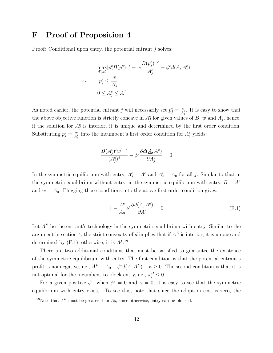## F Proof of Proposition 4

Proof: Conditional upon entry, the potential entrant j solves:

$$
\max_{A_j^e, p_j^e} [p_j^e B(p_j^e)^{-\epsilon} - w \frac{B(p_j^e)^{-\epsilon}}{A_j^e} - \phi^e d(\underline{A}, A_j^e)]
$$
  
s.t. 
$$
p_j^e \le \frac{w}{A_j^i}
$$

$$
0 \le A_j^e \le A^f
$$

As noted earlier, the potential entrant j will necessarily set  $p_j^e = \frac{w}{A_j^i}$ . It is easy to show that the above objective function is strictly concave in  $A_j^e$  for given values of B, w and  $A_j^i$ , hence, if the solution for  $A_j^e$  is interior, it is unique and determined by the first order condition. Substituting  $p_j^e = \frac{w}{A_j^i}$  into the incumbent's first order condition for  $A_j^e$  yields:

$$
\frac{B(A_j^i)^{\epsilon}w^{1-\epsilon}}{(A_j^e)^2} - \phi^e \frac{\partial d(\underline{A}, A_j^e)}{\partial A_j^e} = 0
$$

In the symmetric equilibrium with entry,  $A_j^e = A^e$  and  $A_j^i = A_0$  for all j. Similar to that in the symmetric equilibrium without entry, in the symmetric equilibrium with entry,  $B = A^e$ and  $w = A_0$ . Plugging those conditions into the above first order condition gives:

$$
1 - \frac{A^e}{A_0} \phi^e \frac{\partial d(\underline{A}, A^e)}{\partial A^e} = 0
$$
 (F.1)

Let  $A^E$  be the entrant's technology in the symmetric equilibrium with entry. Similar to the argument in section 4, the strict convexity of d implies that if  $A<sup>E</sup>$  is interior, it is unique and determined by  $(F.1)$ , otherwise, it is  $A<sup>f.19</sup>$ 

There are two additional conditions that must be satisfied to guarantee the existence of the symmetric equilibrium with entry. The first condition is that the potential entrant's profit is nonnegative, i.e.,  $A^E - A_0 - \phi^e d(\underline{A}, A^E) - \kappa \geq 0$ . The second condition is that it is not optimal for the incumbent to block entry, i.e.,  $\pi_j^B \leq 0$ .

For a given positive  $\phi^i$ , when  $\phi^e = 0$  and  $\kappa = 0$ , it is easy to see that the symmetric equilibrium with entry exists. To see this, note that since the adoption cost is zero, the

<sup>&</sup>lt;sup>19</sup>Note that  $A^E$  must be greater than  $\overline{A_0}$ , since otherwise, entry can be blocked.